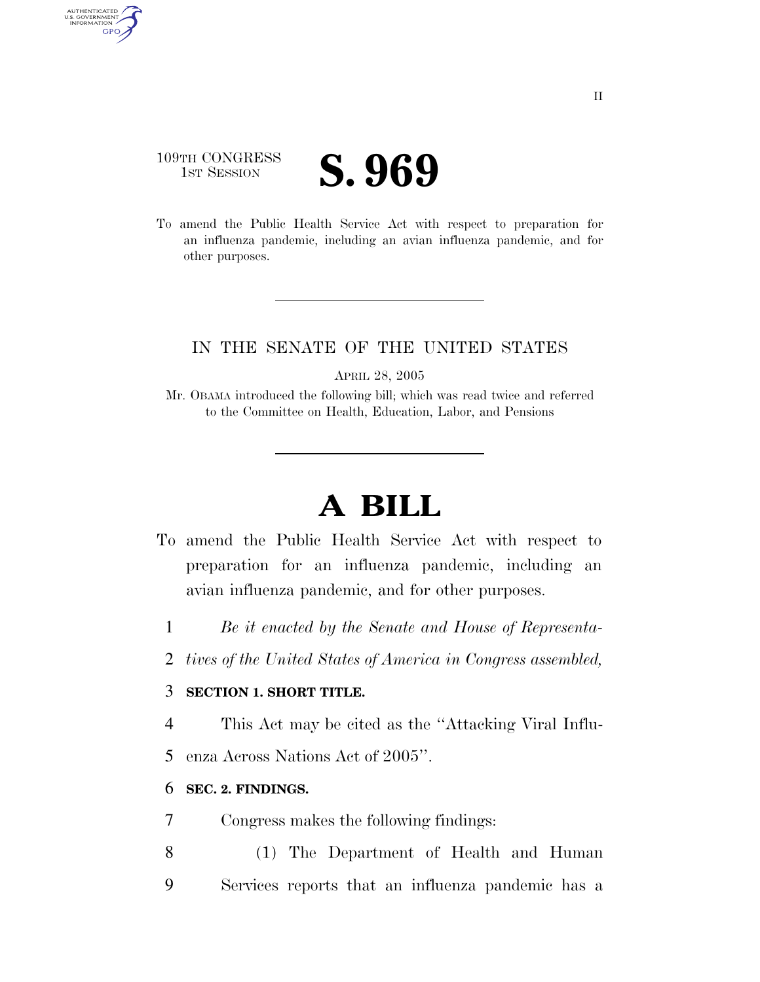### 109TH CONGRESS **IST SESSION S. 969**

AUTHENTICATED<br>U.S. GOVERNMENT<br>INFORMATION GPO

> To amend the Public Health Service Act with respect to preparation for an influenza pandemic, including an avian influenza pandemic, and for other purposes.

#### IN THE SENATE OF THE UNITED STATES

APRIL 28, 2005

Mr. OBAMA introduced the following bill; which was read twice and referred to the Committee on Health, Education, Labor, and Pensions

# **A BILL**

- To amend the Public Health Service Act with respect to preparation for an influenza pandemic, including an avian influenza pandemic, and for other purposes.
	- 1 *Be it enacted by the Senate and House of Representa-*
	- 2 *tives of the United States of America in Congress assembled,*

#### 3 **SECTION 1. SHORT TITLE.**

4 This Act may be cited as the ''Attacking Viral Influ-

5 enza Across Nations Act of 2005''.

#### 6 **SEC. 2. FINDINGS.**

- 7 Congress makes the following findings:
- 8 (1) The Department of Health and Human 9 Services reports that an influenza pandemic has a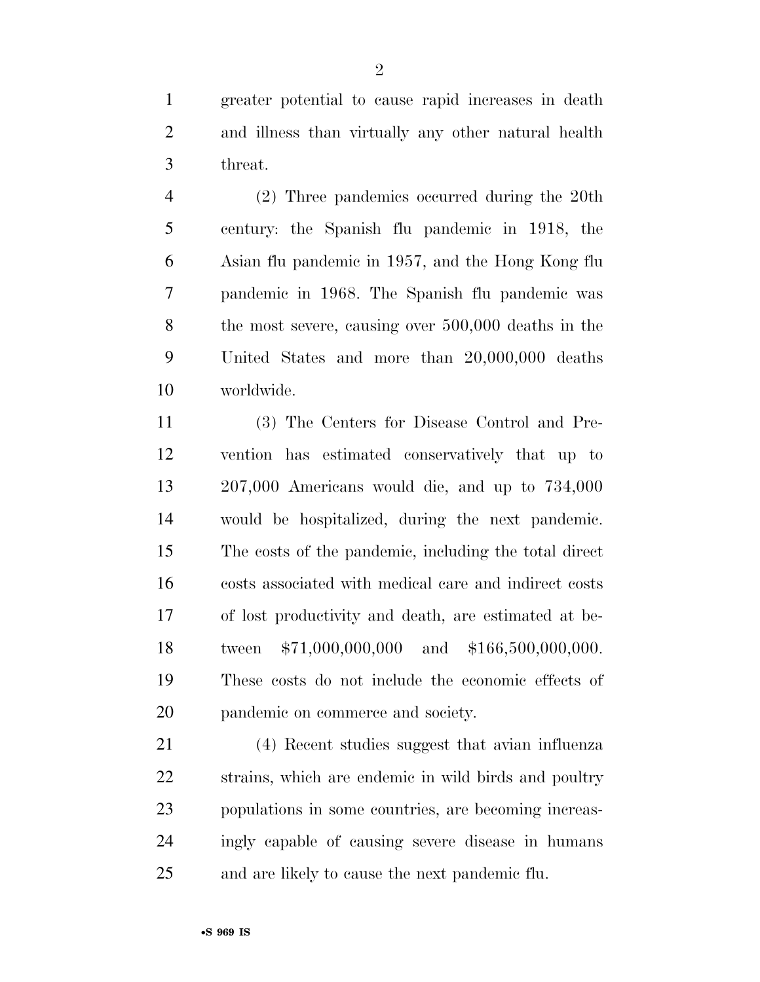greater potential to cause rapid increases in death and illness than virtually any other natural health threat.

 (2) Three pandemics occurred during the 20th century: the Spanish flu pandemic in 1918, the Asian flu pandemic in 1957, and the Hong Kong flu pandemic in 1968. The Spanish flu pandemic was the most severe, causing over 500,000 deaths in the United States and more than 20,000,000 deaths worldwide.

 (3) The Centers for Disease Control and Pre- vention has estimated conservatively that up to 207,000 Americans would die, and up to 734,000 would be hospitalized, during the next pandemic. The costs of the pandemic, including the total direct costs associated with medical care and indirect costs of lost productivity and death, are estimated at be- tween \$71,000,000,000 and \$166,500,000,000. These costs do not include the economic effects of pandemic on commerce and society.

 (4) Recent studies suggest that avian influenza strains, which are endemic in wild birds and poultry populations in some countries, are becoming increas- ingly capable of causing severe disease in humans and are likely to cause the next pandemic flu.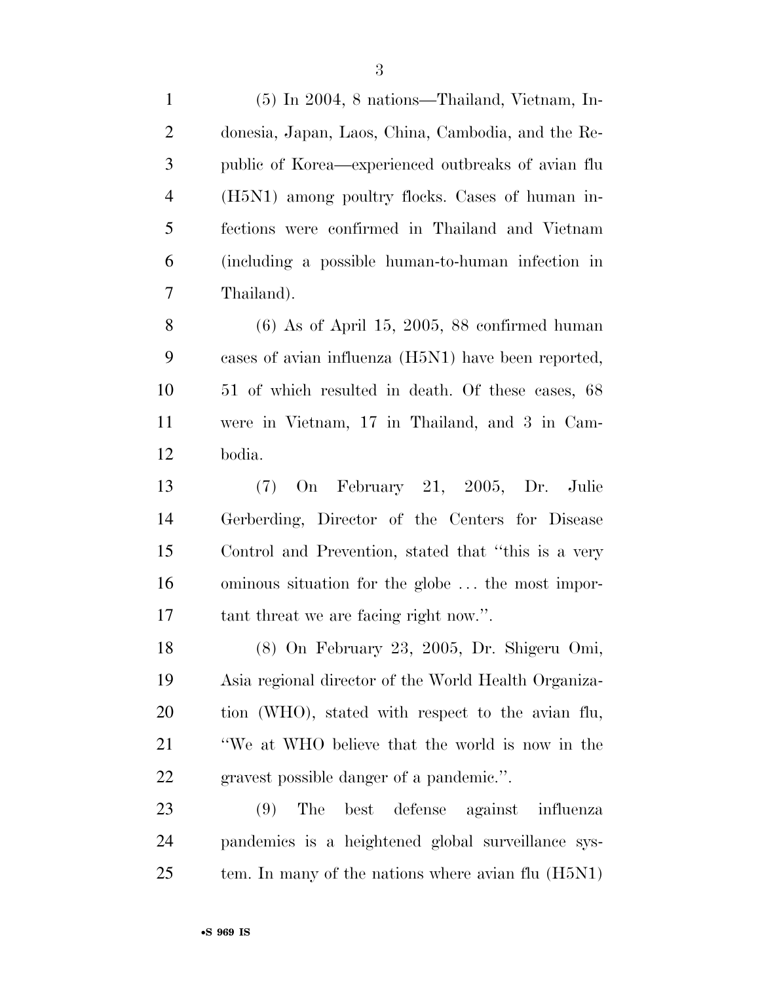| $\mathbf{1}$   | (5) In 2004, 8 nations—Thailand, Vietnam, In-        |
|----------------|------------------------------------------------------|
| $\overline{2}$ | donesia, Japan, Laos, China, Cambodia, and the Re-   |
| 3              | public of Korea—experienced outbreaks of avian flu   |
| $\overline{4}$ | (H5N1) among poultry flocks. Cases of human in-      |
| 5              | fections were confirmed in Thailand and Vietnam      |
| 6              | (including a possible human-to-human infection in    |
| 7              | Thailand).                                           |
| 8              | $(6)$ As of April 15, 2005, 88 confirmed human       |
| 9              | cases of avian influenza (H5N1) have been reported,  |
| 10             | 51 of which resulted in death. Of these cases, 68    |
| 11             | were in Vietnam, 17 in Thailand, and 3 in Cam-       |
| 12             | bodia.                                               |
| 13             | On February 21, 2005, Dr. Julie<br>(7)               |
| 14             | Gerberding, Director of the Centers for Disease      |
| 15             | Control and Prevention, stated that "this is a very  |
| 16             | ominous situation for the globe  the most impor-     |
| 17             | tant threat we are facing right now.".               |
| 18             | (8) On February 23, 2005, Dr. Shigeru Omi,           |
| 19             | Asia regional director of the World Health Organiza- |
| 20             | tion (WHO), stated with respect to the avian flu,    |
| 21             | "We at WHO believe that the world is now in the      |
| 22             | gravest possible danger of a pandemic.".             |
| 23             | The<br>best defense<br>against influenza<br>(9)      |
| 24             | pandemics is a heightened global surveillance sys-   |
| 25             | tem. In many of the nations where avian flu (H5N1)   |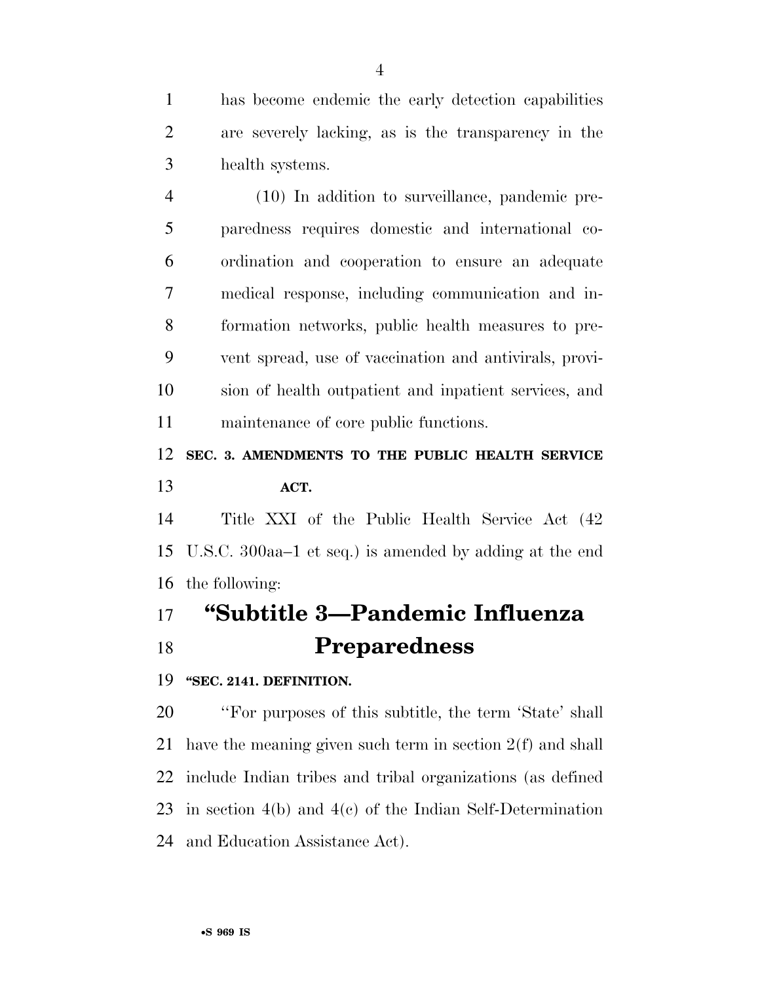has become endemic the early detection capabilities are severely lacking, as is the transparency in the health systems.

 (10) In addition to surveillance, pandemic pre- paredness requires domestic and international co- ordination and cooperation to ensure an adequate medical response, including communication and in- formation networks, public health measures to pre- vent spread, use of vaccination and antivirals, provi- sion of health outpatient and inpatient services, and maintenance of core public functions.

### **SEC. 3. AMENDMENTS TO THE PUBLIC HEALTH SERVICE ACT.**

 Title XXI of the Public Health Service Act (42 U.S.C. 300aa–1 et seq.) is amended by adding at the end the following:

# **''Subtitle 3—Pandemic Influenza Preparedness**

**''SEC. 2141. DEFINITION.** 

 ''For purposes of this subtitle, the term 'State' shall have the meaning given such term in section 2(f) and shall include Indian tribes and tribal organizations (as defined in section 4(b) and 4(c) of the Indian Self-Determination and Education Assistance Act).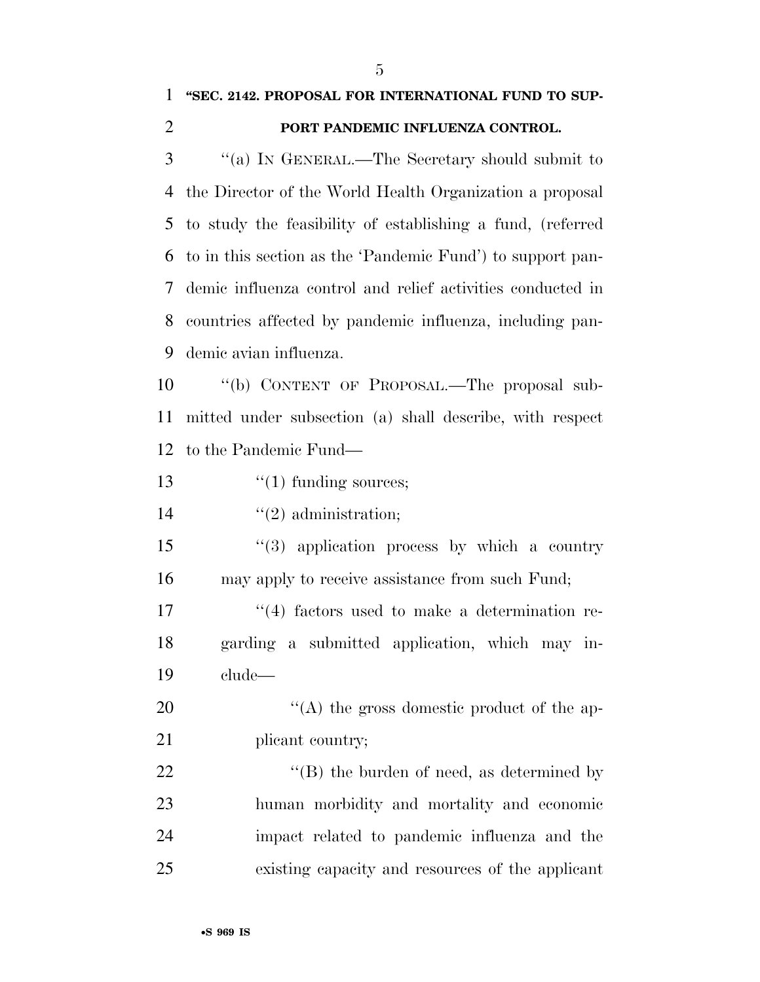## **''SEC. 2142. PROPOSAL FOR INTERNATIONAL FUND TO SUP-PORT PANDEMIC INFLUENZA CONTROL.**

 ''(a) IN GENERAL.—The Secretary should submit to the Director of the World Health Organization a proposal to study the feasibility of establishing a fund, (referred to in this section as the 'Pandemic Fund') to support pan- demic influenza control and relief activities conducted in countries affected by pandemic influenza, including pan-demic avian influenza.

 ''(b) CONTENT OF PROPOSAL.—The proposal sub- mitted under subsection (a) shall describe, with respect to the Pandemic Fund—

13  $\frac{1}{2}$   $\frac{1}{2}$  funding sources;

14  $\frac{1}{2}$  administration;

 ''(3) application process by which a country may apply to receive assistance from such Fund;

17 ''(4) factors used to make a determination re- garding a submitted application, which may in-clude—

20  $\langle (A)$  the gross domestic product of the ap-21 plicant country;

22 ''(B) the burden of need, as determined by human morbidity and mortality and economic impact related to pandemic influenza and the existing capacity and resources of the applicant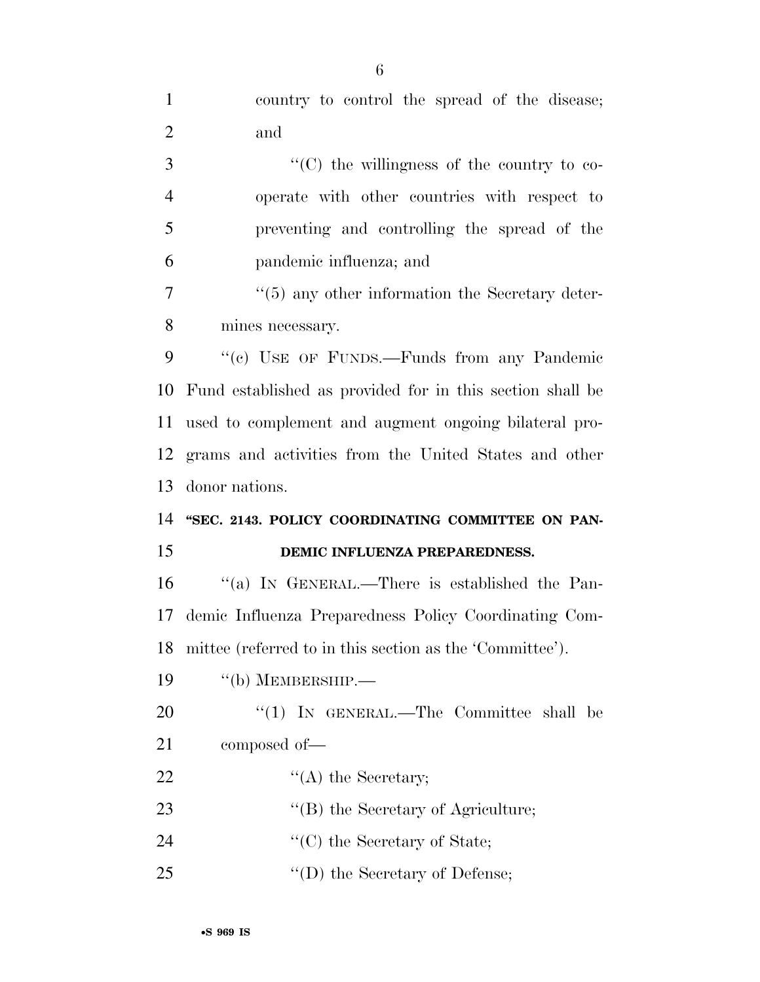| $\mathbf{1}$   | country to control the spread of the disease;               |
|----------------|-------------------------------------------------------------|
| $\overline{2}$ | and                                                         |
| 3              | "(C) the willingness of the country to co-                  |
| $\overline{4}$ | operate with other countries with respect to                |
| 5              | preventing and controlling the spread of the                |
| 6              | pandemic influenza; and                                     |
| 7              | $\cdot\cdot$ (5) any other information the Secretary deter- |
| 8              | mines necessary.                                            |
| 9              | "(c) USE OF FUNDS.—Funds from any Pandemic                  |
| 10             | Fund established as provided for in this section shall be   |
| 11             | used to complement and augment ongoing bilateral pro-       |
| 12             | grams and activities from the United States and other       |
|                |                                                             |
| 13             | donor nations.                                              |
| 14             | "SEC. 2143. POLICY COORDINATING COMMITTEE ON PAN-           |
| 15             | DEMIC INFLUENZA PREPAREDNESS.                               |
| 16             | "(a) IN GENERAL.—There is established the Pan-              |
| 17             | demic Influenza Preparedness Policy Coordinating Com-       |
| 18             | mittee (referred to in this section as the 'Committee').    |
| 19             | $\lq\lq(b)$ MEMBERSHIP.—                                    |
| 20             | "(1) IN GENERAL.—The Committee shall be                     |
| 21             | composed of-                                                |
| 22             | $\lq\lq$ the Secretary;                                     |
| 23             | "(B) the Secretary of Agriculture;                          |
| 24             | $\lq\lq$ (C) the Secretary of State;                        |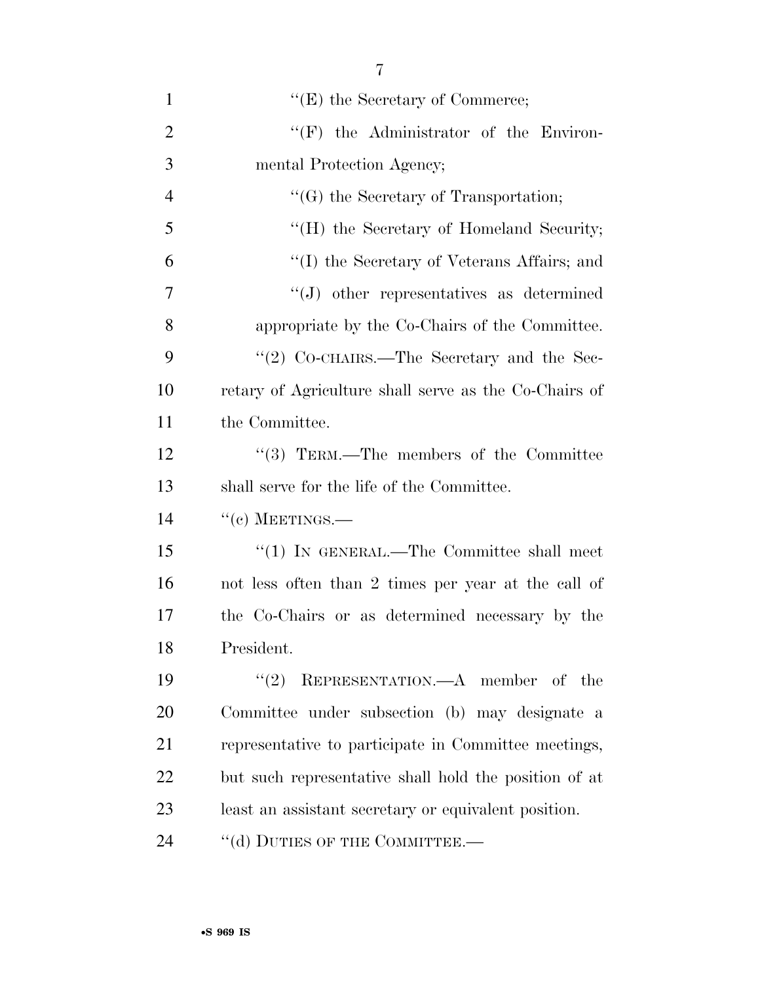| $\mathbf{1}$   | $\lq\lq(E)$ the Secretary of Commerce;                |
|----------------|-------------------------------------------------------|
| $\overline{2}$ | $\lq\lq(F)$ the Administrator of the Environ-         |
| 3              | mental Protection Agency;                             |
| $\overline{4}$ | "(G) the Secretary of Transportation;                 |
| 5              | "(H) the Secretary of Homeland Security;              |
| 6              | "(I) the Secretary of Veterans Affairs; and           |
| 7              | $\lq\lq(J)$ other representatives as determined       |
| 8              | appropriate by the Co-Chairs of the Committee.        |
| 9              | "(2) CO-CHAIRS.—The Secretary and the Sec-            |
| 10             | retary of Agriculture shall serve as the Co-Chairs of |
| 11             | the Committee.                                        |
| 12             | $\cdot$ (3) TERM.—The members of the Committee        |
| 13             | shall serve for the life of the Committee.            |
| 14             | $``(c)$ MEETINGS.—                                    |
| 15             | "(1) IN GENERAL.—The Committee shall meet             |
| 16             | not less often than 2 times per year at the call of   |
| 17             | the Co-Chairs or as determined necessary by the       |
| 18             | President.                                            |
| 19             | REPRESENTATION.—A member of the<br>(2)                |
| 20             | Committee under subsection (b) may designate a        |
| 21             | representative to participate in Committee meetings,  |
| 22             | but such representative shall hold the position of at |
| 23             | least an assistant secretary or equivalent position.  |
| 24             | "(d) DUTIES OF THE COMMITTEE.-                        |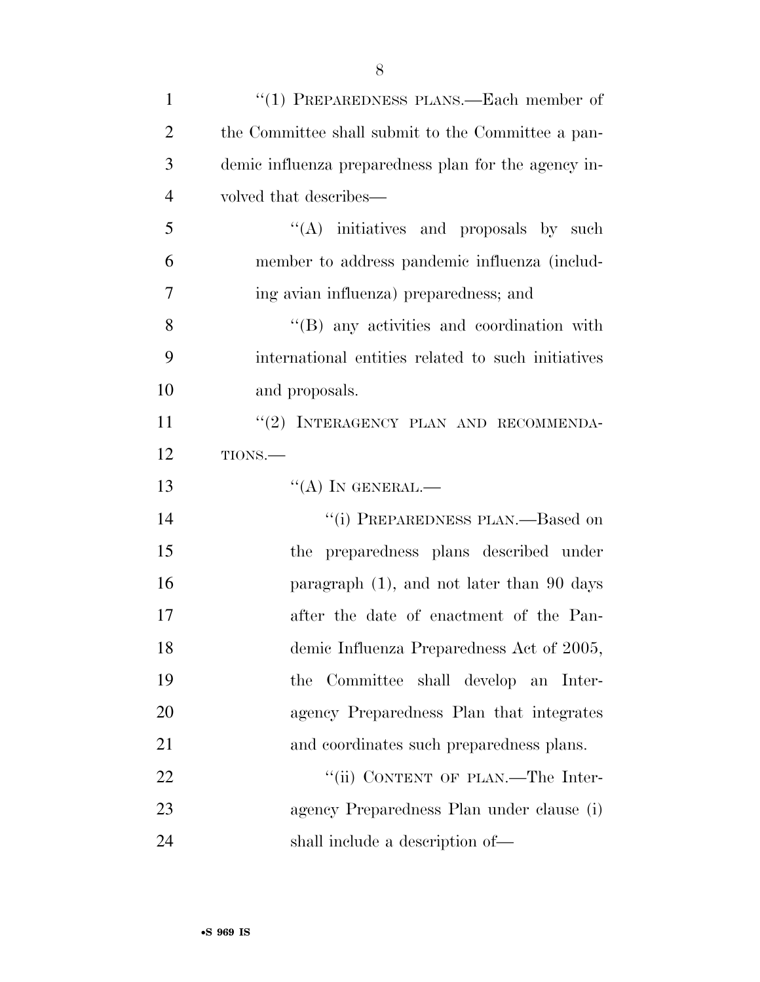| $\mathbf{1}$   | "(1) PREPAREDNESS PLANS.—Each member of              |
|----------------|------------------------------------------------------|
| $\overline{2}$ | the Committee shall submit to the Committee a pan-   |
| 3              | demic influenza preparedness plan for the agency in- |
| $\overline{4}$ | volved that describes—                               |
| 5              | $\lq\lq$ initiatives and proposals by such           |
| 6              | member to address pandemic influenza (includ-        |
| 7              | ing avian influenza) preparedness; and               |
| 8              | $\lq\lq$ (B) any activities and coordination with    |
| 9              | international entities related to such initiatives   |
| 10             | and proposals.                                       |
| 11             | "(2) INTERAGENCY PLAN AND RECOMMENDA-                |
| 12             | TIONS.                                               |
| 13             | $\lq\lq (A)$ In GENERAL.—                            |
| 14             | "(i) PREPAREDNESS PLAN.—Based on                     |
| 15             | the preparedness plans described under               |
| 16             | paragraph $(1)$ , and not later than 90 days         |
| 17             | after the date of enactment of the Pan-              |
| 18             | demic Influenza Preparedness Act of 2005,            |
| 19             | the Committee shall develop an Inter-                |
| 20             | agency Preparedness Plan that integrates             |
| 21             | and coordinates such preparedness plans.             |
| 22             | "(ii) CONTENT OF PLAN.—The Inter-                    |
| 23             | agency Preparedness Plan under clause (i)            |
| 24             | shall include a description of—                      |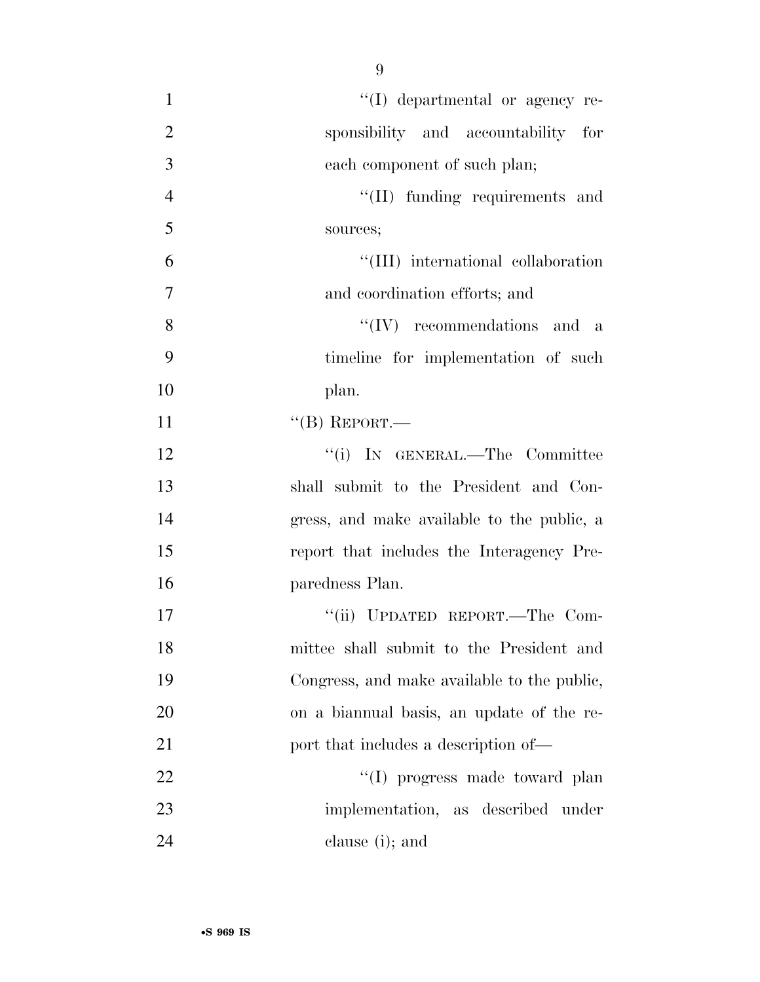| $\mathbf{1}$   | "(I) departmental or agency re-             |
|----------------|---------------------------------------------|
| $\overline{2}$ | sponsibility and accountability for         |
| 3              | each component of such plan;                |
| $\overline{4}$ | "(II) funding requirements and              |
| 5              | sources;                                    |
| 6              | "(III) international collaboration          |
| 7              | and coordination efforts; and               |
| 8              | $\lq\lq (IV)$ recommendations and a         |
| 9              | timeline for implementation of such         |
| 10             | plan.                                       |
| 11             | $``$ (B) REPORT.—                           |
| 12             | "(i) IN GENERAL.—The Committee              |
| 13             | shall submit to the President and Con-      |
| 14             | gress, and make available to the public, a  |
| 15             | report that includes the Interagency Pre-   |
| 16             | paredness Plan.                             |
| 17             | "(ii) UPDATED REPORT.—The Com-              |
| 18             | mittee shall submit to the President and    |
| 19             | Congress, and make available to the public, |
| 20             | on a biannual basis, an update of the re-   |
| 21             | port that includes a description of—        |
| 22             | "(I) progress made toward plan              |
| 23             | implementation, as described under          |
| 24             | clause (i); and                             |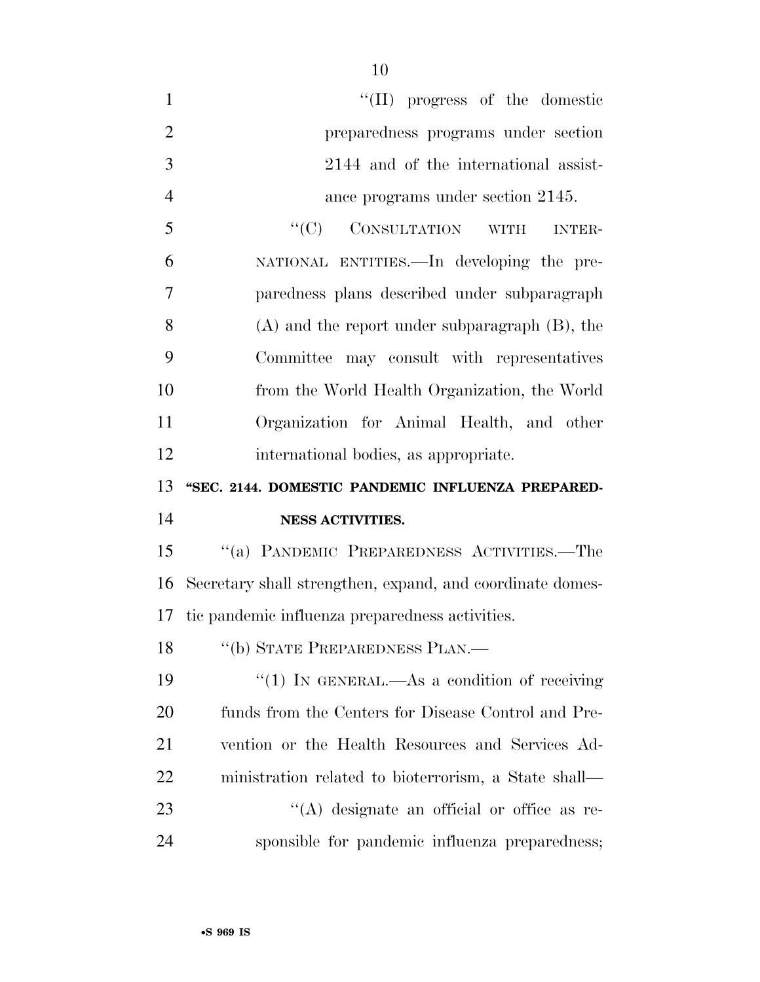| $\mathbf{1}$   | $\lq\lq$ (II) progress of the domestic                    |
|----------------|-----------------------------------------------------------|
| $\overline{2}$ | preparedness programs under section                       |
| 3              | 2144 and of the international assist-                     |
| $\overline{4}$ | ance programs under section 2145.                         |
| 5              | "(C) CONSULTATION WITH<br><b>INTER-</b>                   |
| 6              | NATIONAL ENTITIES. In developing the pre-                 |
| 7              | paredness plans described under subparagraph              |
| 8              | $(A)$ and the report under subparagraph $(B)$ , the       |
| 9              | Committee may consult with representatives                |
| 10             | from the World Health Organization, the World             |
| 11             | Organization for Animal Health, and other                 |
| 12             | international bodies, as appropriate.                     |
|                |                                                           |
| 13             | "SEC. 2144. DOMESTIC PANDEMIC INFLUENZA PREPARED-         |
| 14             | <b>NESS ACTIVITIES.</b>                                   |
| 15             | "(a) PANDEMIC PREPAREDNESS ACTIVITIES.—The                |
| 16             | Secretary shall strengthen, expand, and coordinate domes- |
| 17             | tic pandemic influenza preparedness activities.           |
| 18             | "(b) STATE PREPAREDNESS PLAN.—                            |
| 19             | "(1) IN GENERAL.—As a condition of receiving              |
| 20             | funds from the Centers for Disease Control and Pre-       |
| 21             | vention or the Health Resources and Services Ad-          |
| 22             | ministration related to bioterrorism, a State shall—      |
| 23             | "(A) designate an official or office as re-               |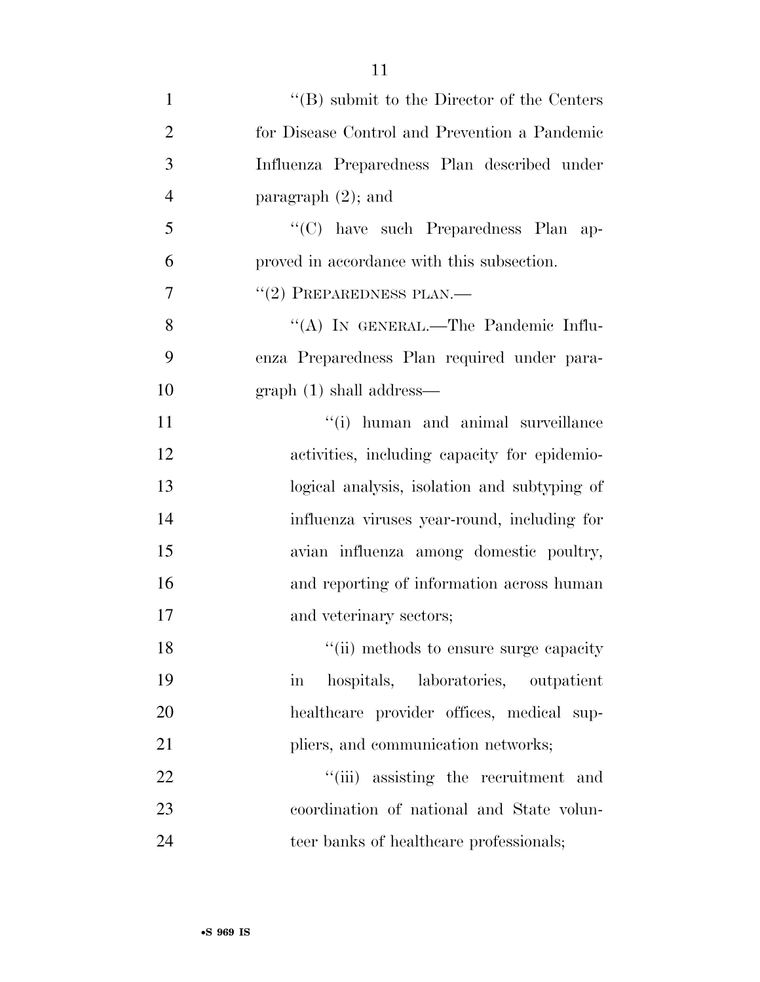| 1              | $\lq\lq (B)$ submit to the Director of the Centers         |
|----------------|------------------------------------------------------------|
| $\overline{2}$ | for Disease Control and Prevention a Pandemic              |
| 3              | Influenza Preparedness Plan described under                |
| $\overline{4}$ | paragraph $(2)$ ; and                                      |
| 5              | "(C) have such Preparedness Plan ap-                       |
| 6              | proved in accordance with this subsection.                 |
| 7              | $``(2)$ PREPAREDNESS PLAN.—                                |
| 8              | "(A) IN GENERAL.—The Pandemic Influ-                       |
| 9              | enza Preparedness Plan required under para-                |
| 10             | $graph(1) shall address$ —                                 |
| 11             | "(i) human and animal surveillance                         |
| 12             | activities, including capacity for epidemio-               |
| 13             | logical analysis, isolation and subtyping of               |
| 14             | influenza viruses year-round, including for                |
| 15             | avian influenza among domestic poultry,                    |
| 16             | and reporting of information across human                  |
| 17             | and veterinary sectors;                                    |
| 18             | "(ii) methods to ensure surge capacity                     |
| 19             | hospitals, laboratories, outpatient<br>$\operatorname{in}$ |
| 20             | healthcare provider offices, medical sup-                  |
| 21             | pliers, and communication networks;                        |
| 22             | "(iii) assisting the recruitment and                       |
| 23             | coordination of national and State volun-                  |
| 24             | teer banks of healthcare professionals;                    |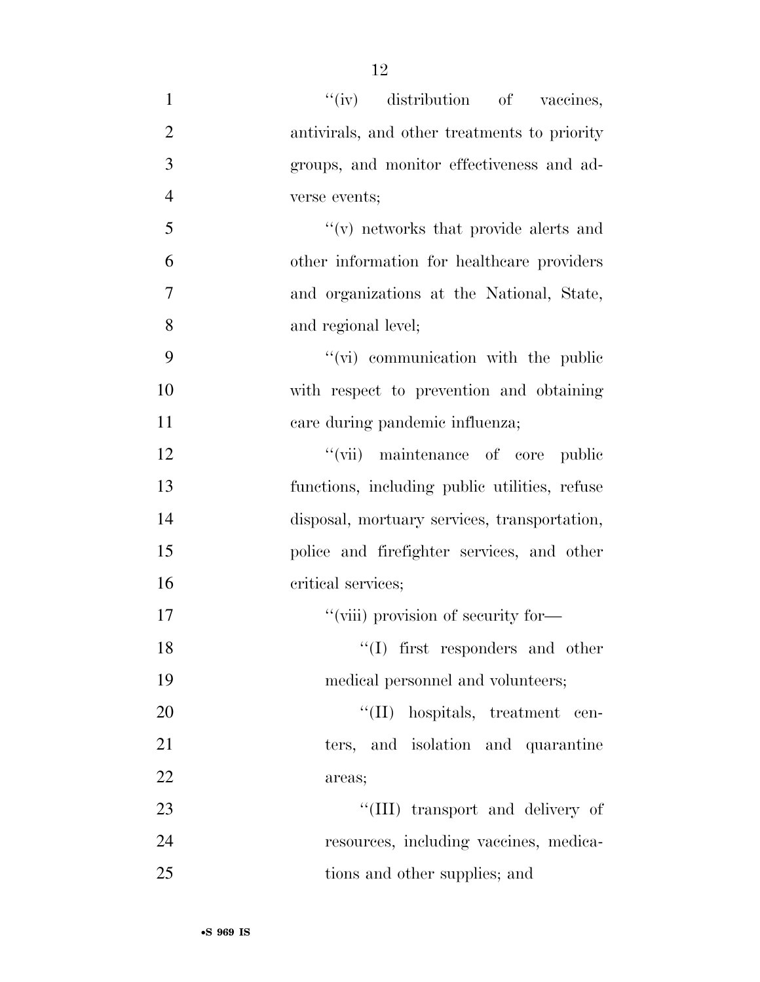$''(iv)$  distribution of vaccines, antivirals, and other treatments to priority groups, and monitor effectiveness and ad- verse events;  $\mathcal{F}'(v)$  networks that provide alerts and other information for healthcare providers and organizations at the National, State, and regional level;  $''(\vec{v})$  communication with the public with respect to prevention and obtaining 11 care during pandemic influenza; 12 ''(vii) maintenance of core public functions, including public utilities, refuse disposal, mortuary services, transportation, police and firefighter services, and other critical services;  $"$ (viii) provision of security for-18 ''(I) first responders and other medical personnel and volunteers;  $\text{``(II)}$  hospitals, treatment cen-21 ters, and isolation and quarantine 22 areas; 23 ''(III) transport and delivery of resources, including vaccines, medica-25 tions and other supplies; and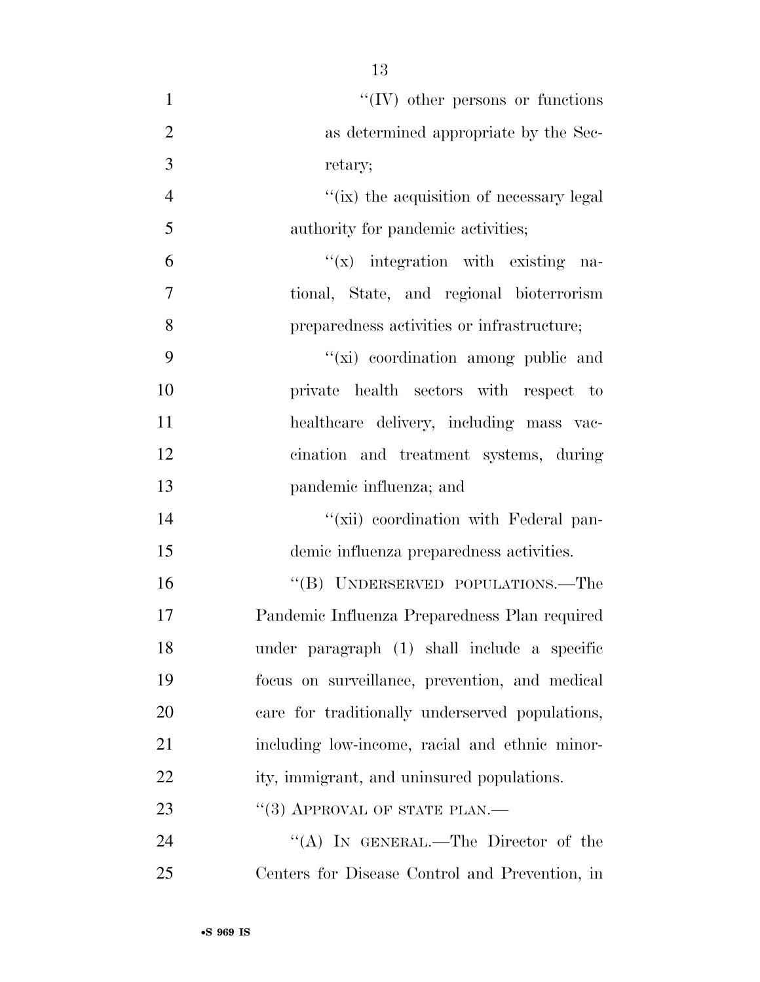$\lq\lq$  (IV) other persons or functions as determined appropriate by the Sec- retary;  $''(ix)$  the acquisition of necessary legal authority for pandemic activities;  $''(x)$  integration with existing na- tional, State, and regional bioterrorism preparedness activities or infrastructure;  $''(\vec{x})$  coordination among public and private health sectors with respect to healthcare delivery, including mass vac- cination and treatment systems, during pandemic influenza; and  $\frac{1}{2}$   $\frac{1}{2}$   $\frac{1}{2}$  coordination with Federal pan- demic influenza preparedness activities. 16 "(B) UNDERSERVED POPULATIONS.—The Pandemic Influenza Preparedness Plan required under paragraph (1) shall include a specific focus on surveillance, prevention, and medical care for traditionally underserved populations, including low-income, racial and ethnic minor-22 ity, immigrant, and uninsured populations. 23 "(3) APPROVAL OF STATE PLAN.—

24 "(A) IN GENERAL.—The Director of the Centers for Disease Control and Prevention, in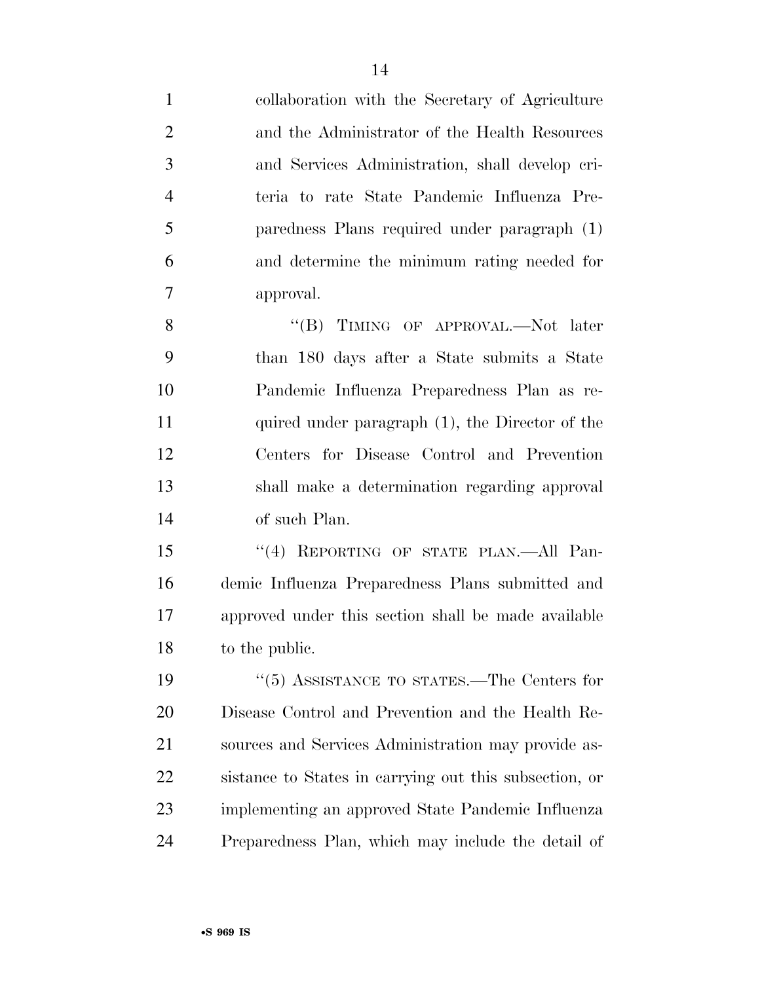collaboration with the Secretary of Agriculture and the Administrator of the Health Resources and Services Administration, shall develop cri- teria to rate State Pandemic Influenza Pre- paredness Plans required under paragraph (1) and determine the minimum rating needed for approval.

8 "(B) TIMING OF APPROVAL.—Not later than 180 days after a State submits a State Pandemic Influenza Preparedness Plan as re-11 quired under paragraph (1), the Director of the Centers for Disease Control and Prevention shall make a determination regarding approval of such Plan.

15 "(4) REPORTING OF STATE PLAN.—All Pan- demic Influenza Preparedness Plans submitted and approved under this section shall be made available to the public.

19 ''(5) ASSISTANCE TO STATES.—The Centers for Disease Control and Prevention and the Health Re- sources and Services Administration may provide as- sistance to States in carrying out this subsection, or implementing an approved State Pandemic Influenza Preparedness Plan, which may include the detail of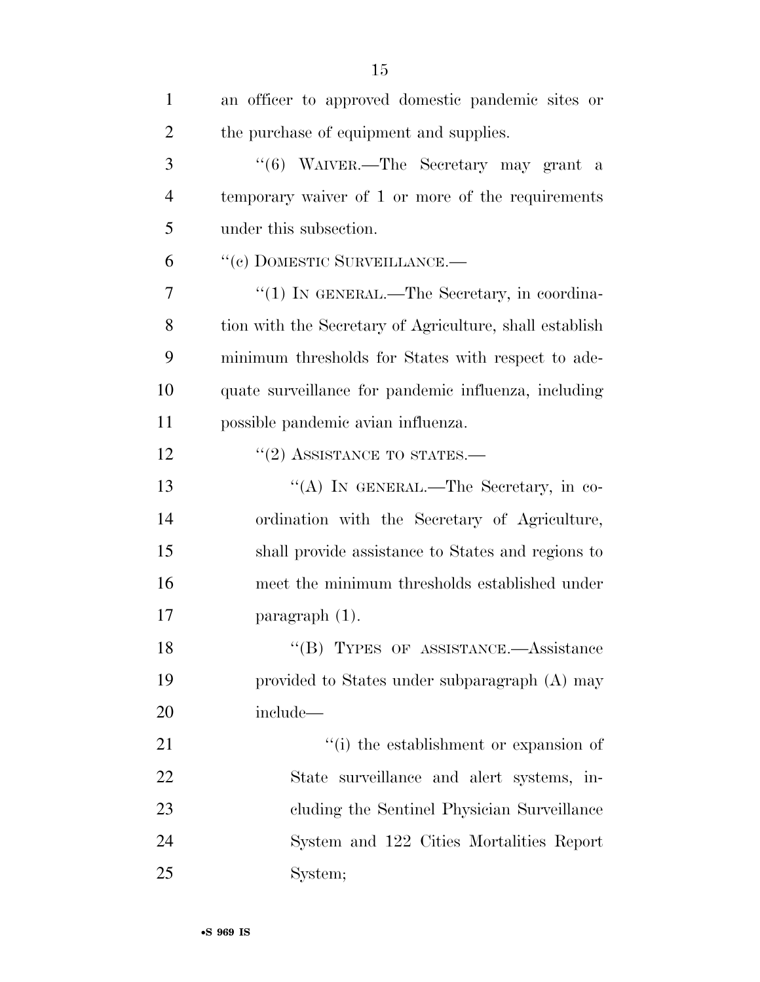| $\mathbf{1}$   | an officer to approved domestic pandemic sites or       |
|----------------|---------------------------------------------------------|
| $\overline{2}$ | the purchase of equipment and supplies.                 |
| 3              | "(6) WAIVER.—The Secretary may grant a                  |
| $\overline{4}$ | temporary waiver of 1 or more of the requirements       |
| 5              | under this subsection.                                  |
| 6              | "(c) DOMESTIC SURVEILLANCE.—                            |
| 7              | "(1) IN GENERAL.—The Secretary, in coordina-            |
| 8              | tion with the Secretary of Agriculture, shall establish |
| 9              | minimum thresholds for States with respect to ade-      |
| 10             | quate surveillance for pandemic influenza, including    |
| 11             | possible pandemic avian influenza.                      |
| 12             | $\cdot\cdot(2)$ ASSISTANCE TO STATES.—                  |
| 13             | "(A) IN GENERAL.—The Secretary, in co-                  |
| 14             | ordination with the Secretary of Agriculture,           |
| 15             | shall provide assistance to States and regions to       |
| 16             | meet the minimum thresholds established under           |
| 17             | paragraph $(1)$ .                                       |
| 18             | "(B) TYPES OF ASSISTANCE.—Assistance                    |
| 19             | provided to States under subparagraph (A) may           |
| 20             | include—                                                |
| 21             | "(i) the establishment or expansion of                  |
| 22             | State surveillance and alert systems, in-               |
| 23             | cluding the Sentinel Physician Surveillance             |
| 24             | System and 122 Cities Mortalities Report                |
| 25             | System;                                                 |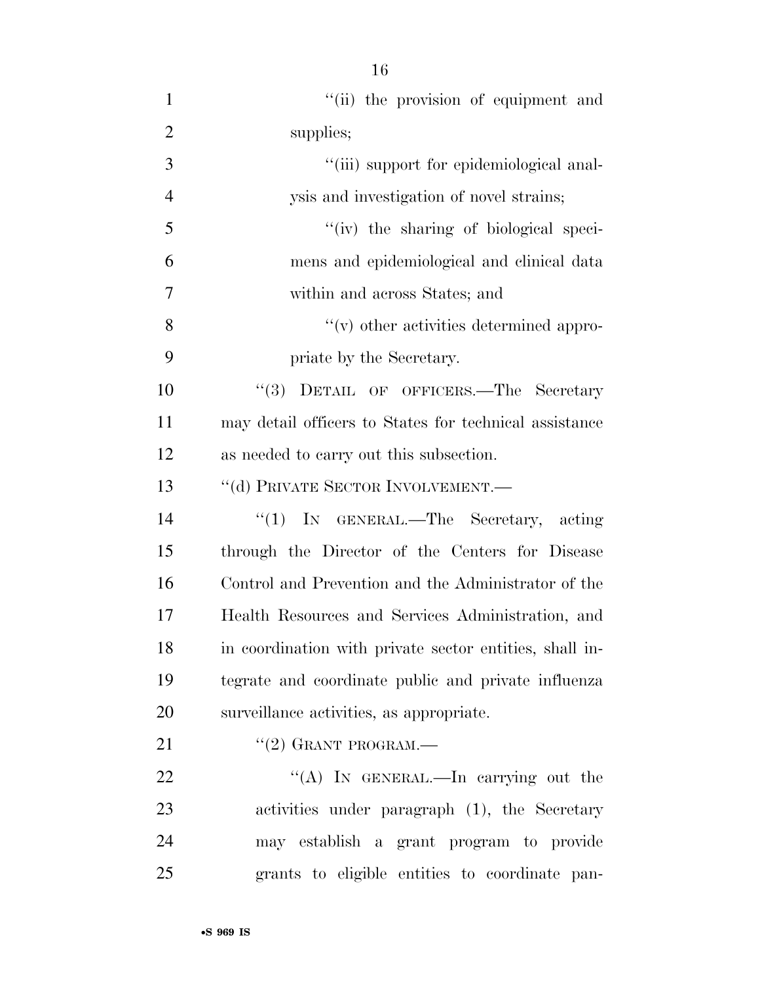| $\mathbf{1}$   | "(ii) the provision of equipment and                    |
|----------------|---------------------------------------------------------|
| $\overline{2}$ | supplies;                                               |
| 3              | "(iii) support for epidemiological anal-                |
| $\overline{4}$ | ysis and investigation of novel strains;                |
| 5              | "(iv) the sharing of biological speci-                  |
| 6              | mens and epidemiological and clinical data              |
| 7              | within and across States; and                           |
| 8              | $\lq\lq$ other activities determined appro-             |
| 9              | priate by the Secretary.                                |
| 10             | "(3) DETAIL OF OFFICERS.—The Secretary                  |
| 11             | may detail officers to States for technical assistance  |
| 12             | as needed to carry out this subsection.                 |
| 13             | "(d) PRIVATE SECTOR INVOLVEMENT.-                       |
| 14             | " $(1)$ In GENERAL.—The Secretary, acting               |
| 15             | through the Director of the Centers for Disease         |
| 16             | Control and Prevention and the Administrator of the     |
| 17             | Health Resources and Services Administration, and       |
| 18             | in coordination with private sector entities, shall in- |
| 19             | tegrate and coordinate public and private influenza     |
| 20             | surveillance activities, as appropriate.                |
| 21             | $``(2)$ GRANT PROGRAM.—                                 |
| 22             | "(A) IN GENERAL.—In carrying out the                    |
| 23             | activities under paragraph (1), the Secretary           |
| 24             | may establish a grant program to provide                |
| 25             | grants to eligible entities to coordinate pan-          |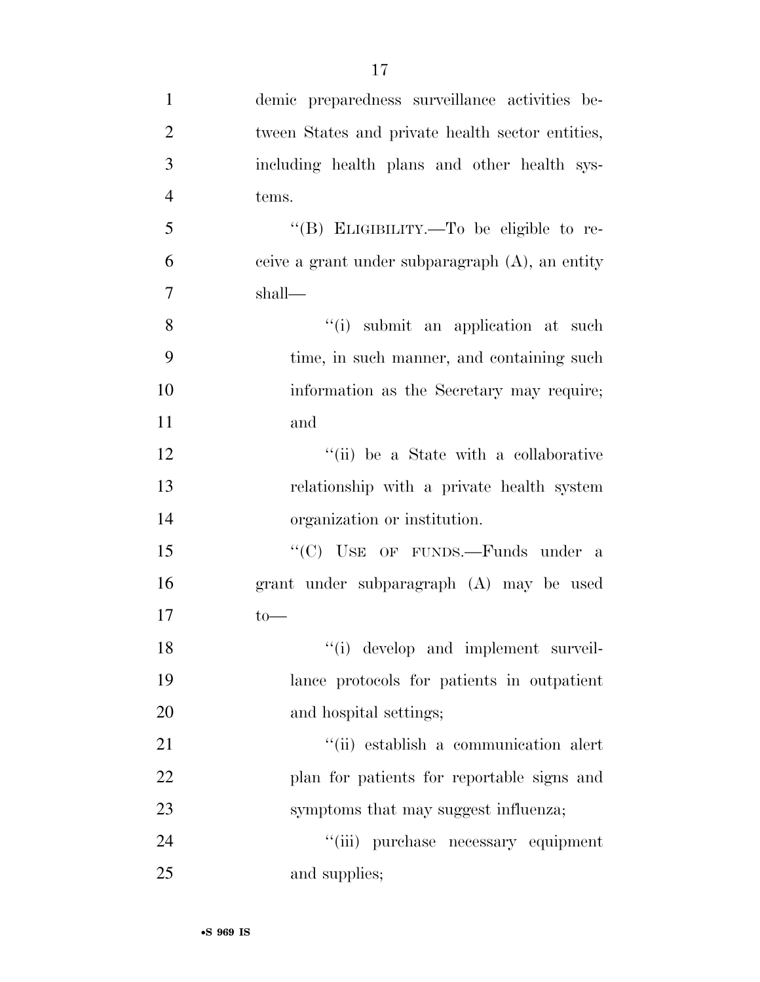| $\mathbf{1}$   | demic preparedness surveillance activities be-     |
|----------------|----------------------------------------------------|
| $\overline{2}$ | tween States and private health sector entities,   |
| 3              | including health plans and other health sys-       |
| $\overline{4}$ | tems.                                              |
| 5              | "(B) ELIGIBILITY.—To be eligible to re-            |
| 6              | ceive a grant under subparagraph $(A)$ , an entity |
| $\overline{7}$ | shall—                                             |
| 8              | "(i) submit an application at such                 |
| 9              | time, in such manner, and containing such          |
| 10             | information as the Secretary may require;          |
| 11             | and                                                |
| 12             | "(ii) be a State with a collaborative              |
| 13             | relationship with a private health system          |
| 14             | organization or institution.                       |
| 15             | "(C) USE OF FUNDS.—Funds under a                   |
| 16             | grant under subparagraph (A) may be used           |
| 17             | $to-$                                              |
| 18             | $\lq\lq$ (i) develop and implement surveil-        |
| 19             | lance protocols for patients in outpatient         |
| 20             | and hospital settings;                             |
| 21             | "(ii) establish a communication alert              |
| 22             | plan for patients for reportable signs and         |
| 23             | symptoms that may suggest influenza;               |
| 24             | "(iii) purchase necessary equipment                |
| 25             | and supplies;                                      |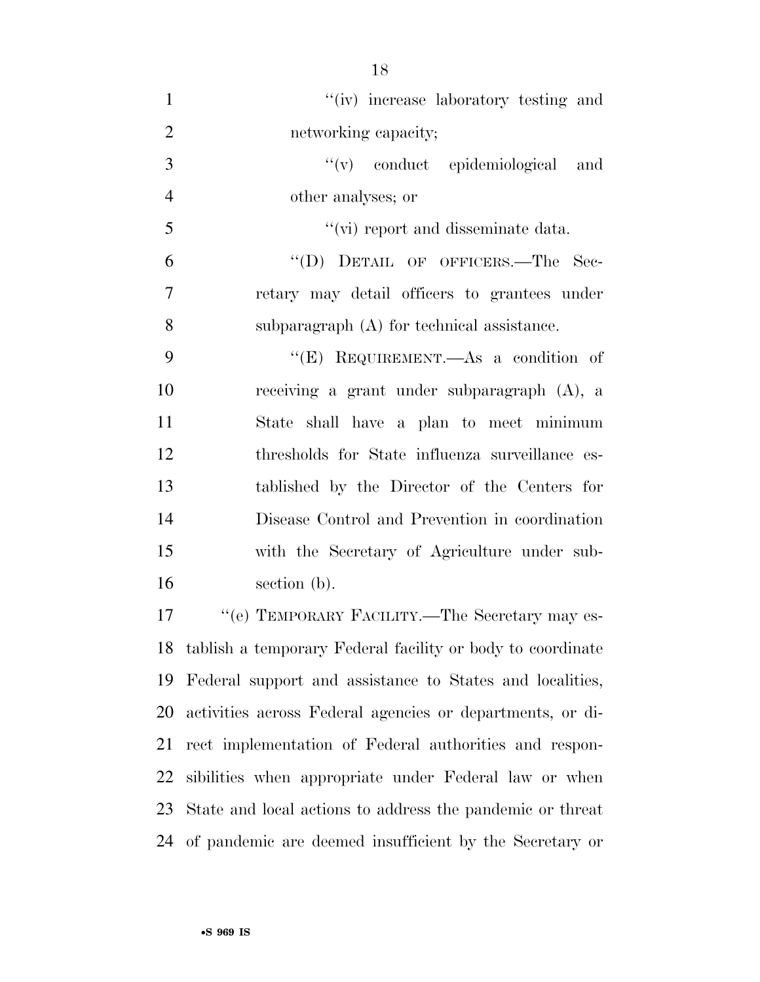| $\mathbf{1}$   | "(iv) increase laboratory testing and                      |
|----------------|------------------------------------------------------------|
| $\overline{2}$ | networking capacity;                                       |
| 3              | "(v) conduct epidemiological<br>and                        |
| $\overline{4}$ | other analyses; or                                         |
| 5              | "(vi) report and disseminate data.                         |
| 6              | "(D) DETAIL OF OFFICERS.—The Sec-                          |
| $\tau$         | retary may detail officers to grantees under               |
| 8              | subparagraph (A) for technical assistance.                 |
| 9              | "(E) REQUIREMENT.—As a condition of                        |
| 10             | receiving a grant under subparagraph (A), a                |
| 11             | shall have a plan to meet minimum<br>State                 |
| 12             | thresholds for State influenza surveillance es-            |
| 13             | tablished by the Director of the Centers for               |
| 14             | Disease Control and Prevention in coordination             |
| 15             | with the Secretary of Agriculture under sub-               |
| 16             | section (b).                                               |
| 17             | "(e) TEMPORARY FACILITY.—The Secretary may es-             |
| 18             | tablish a temporary Federal facility or body to coordinate |
| 19             | Federal support and assistance to States and localities,   |
|                | 20 estivities egyese Esdevel egyeség az depentments ez di  |

 activities across Federal agencies or departments, or di- rect implementation of Federal authorities and respon- sibilities when appropriate under Federal law or when State and local actions to address the pandemic or threat of pandemic are deemed insufficient by the Secretary or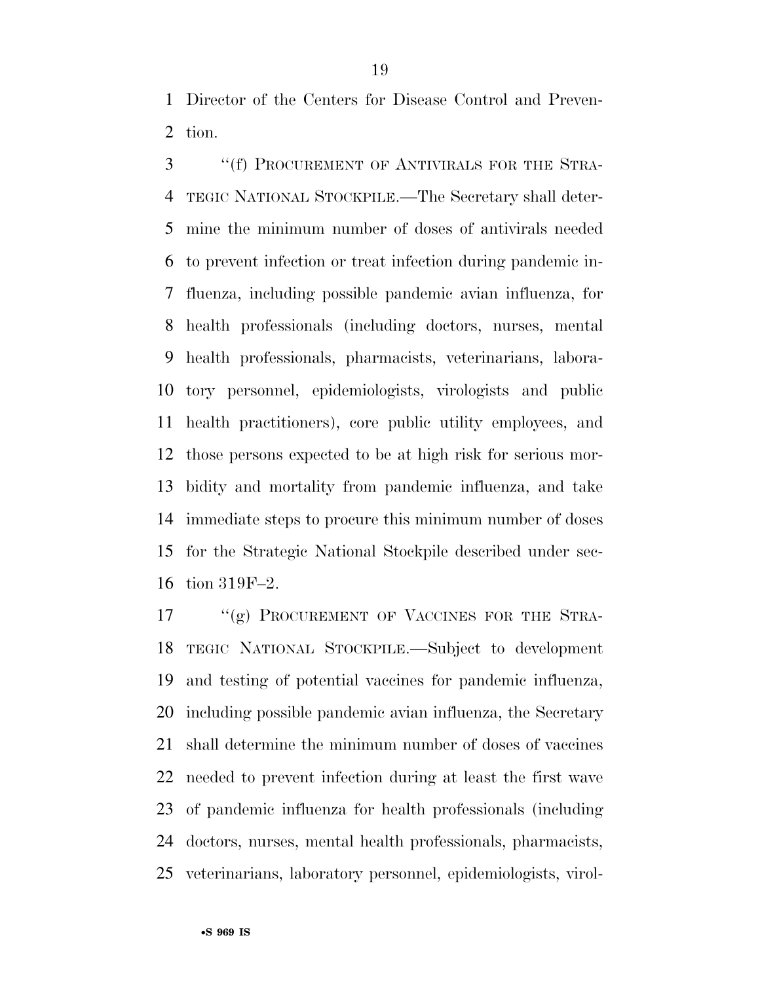Director of the Centers for Disease Control and Preven-tion.

 ''(f) PROCUREMENT OF ANTIVIRALS FOR THE STRA- TEGIC NATIONAL STOCKPILE.—The Secretary shall deter- mine the minimum number of doses of antivirals needed to prevent infection or treat infection during pandemic in- fluenza, including possible pandemic avian influenza, for health professionals (including doctors, nurses, mental health professionals, pharmacists, veterinarians, labora- tory personnel, epidemiologists, virologists and public health practitioners), core public utility employees, and those persons expected to be at high risk for serious mor- bidity and mortality from pandemic influenza, and take immediate steps to procure this minimum number of doses for the Strategic National Stockpile described under sec-tion 319F–2.

17 "(g) PROCUREMENT OF VACCINES FOR THE STRA- TEGIC NATIONAL STOCKPILE.—Subject to development and testing of potential vaccines for pandemic influenza, including possible pandemic avian influenza, the Secretary shall determine the minimum number of doses of vaccines needed to prevent infection during at least the first wave of pandemic influenza for health professionals (including doctors, nurses, mental health professionals, pharmacists, veterinarians, laboratory personnel, epidemiologists, virol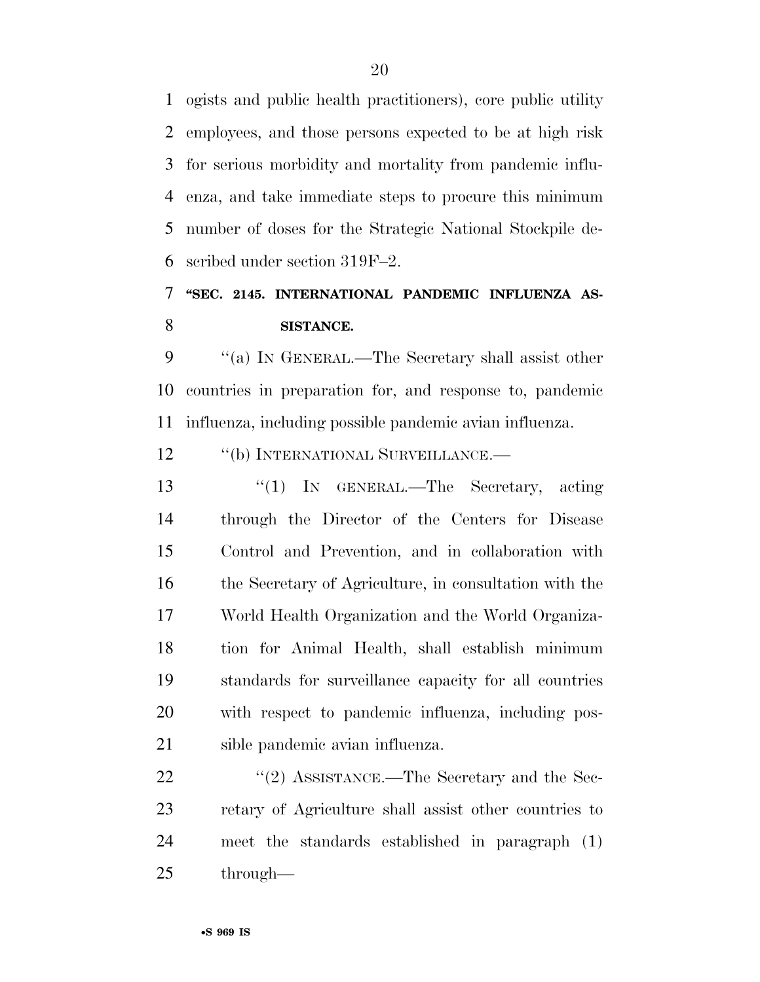ogists and public health practitioners), core public utility employees, and those persons expected to be at high risk for serious morbidity and mortality from pandemic influ- enza, and take immediate steps to procure this minimum number of doses for the Strategic National Stockpile de-scribed under section 319F–2.

## **''SEC. 2145. INTERNATIONAL PANDEMIC INFLUENZA AS-SISTANCE.**

 ''(a) IN GENERAL.—The Secretary shall assist other countries in preparation for, and response to, pandemic influenza, including possible pandemic avian influenza.

12 "(b) INTERNATIONAL SURVEILLANCE.—

 ''(1) IN GENERAL.—The Secretary, acting through the Director of the Centers for Disease Control and Prevention, and in collaboration with the Secretary of Agriculture, in consultation with the World Health Organization and the World Organiza- tion for Animal Health, shall establish minimum standards for surveillance capacity for all countries with respect to pandemic influenza, including pos-sible pandemic avian influenza.

22 ''(2) ASSISTANCE.—The Secretary and the Sec- retary of Agriculture shall assist other countries to meet the standards established in paragraph (1) through—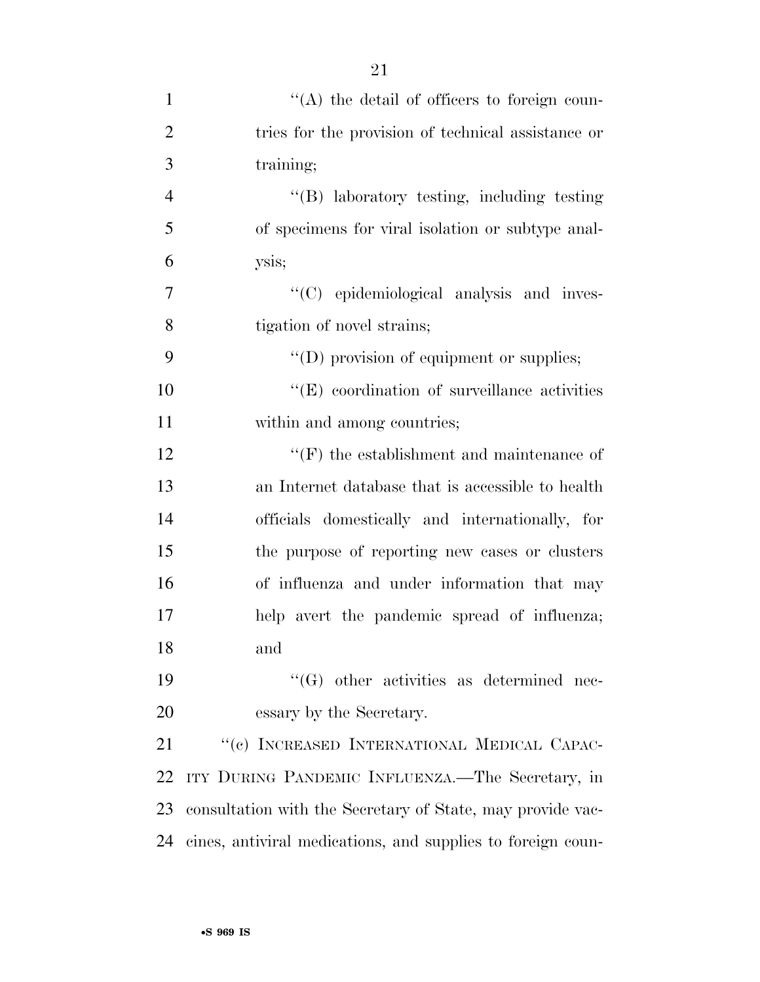| $\mathbf{1}$   | "(A) the detail of officers to foreign coun-                |
|----------------|-------------------------------------------------------------|
| $\overline{2}$ | tries for the provision of technical assistance or          |
| 3              | training;                                                   |
| $\overline{4}$ | "(B) laboratory testing, including testing                  |
| 5              | of specimens for viral isolation or subtype anal-           |
| 6              | ysis;                                                       |
| $\overline{7}$ | "(C) epidemiological analysis and inves-                    |
| 8              | tigation of novel strains;                                  |
| 9              | "(D) provision of equipment or supplies;                    |
| 10             | $\lq\lq$ (E) coordination of surveillance activities        |
| 11             | within and among countries;                                 |
| 12             | $\lq\lq(F)$ the establishment and maintenance of            |
| 13             | an Internet database that is accessible to health           |
| 14             | officials domestically and internationally, for             |
| 15             | the purpose of reporting new cases or clusters              |
| 16             | of influenza and under information that may                 |
| 17             | help avert the pandemic spread of influenza;                |
| 18             | and                                                         |
| 19             | $\lq\lq(G)$ other activities as determined nec-             |
| 20             | essary by the Secretary.                                    |
| 21             | "(c) INCREASED INTERNATIONAL MEDICAL CAPAC-                 |
| 22             | ITY DURING PANDEMIC INFLUENZA.—The Secretary, in            |
| 23             | consultation with the Secretary of State, may provide vac-  |
| 24             | cines, antiviral medications, and supplies to foreign coun- |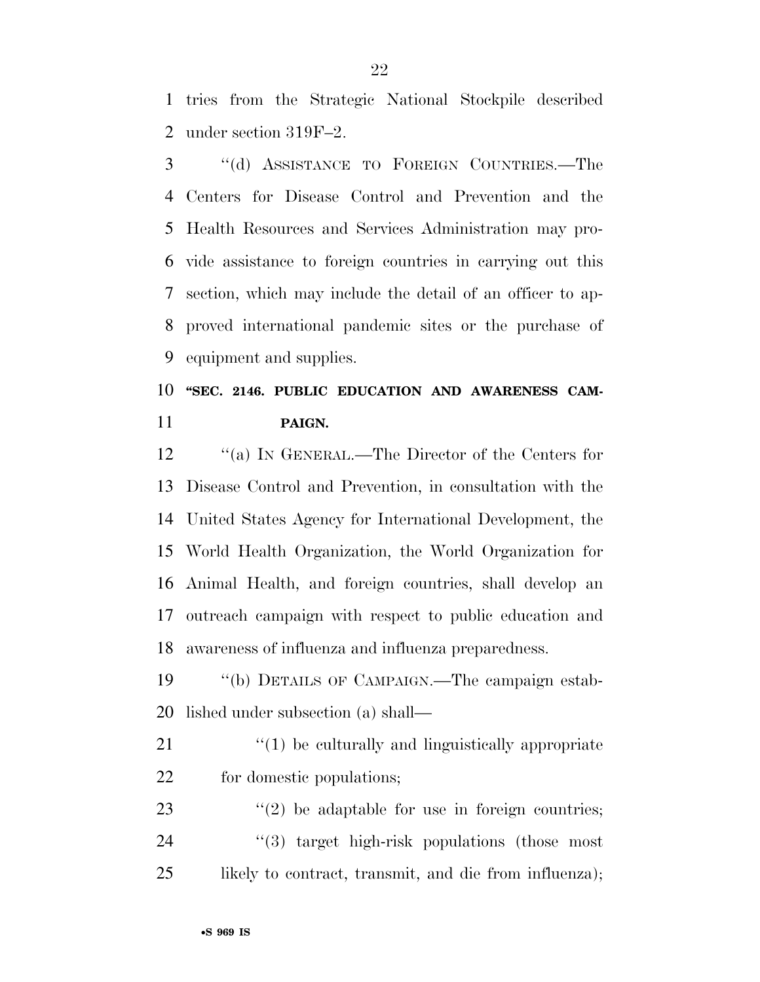tries from the Strategic National Stockpile described under section 319F–2.

 ''(d) ASSISTANCE TO FOREIGN COUNTRIES.—The Centers for Disease Control and Prevention and the Health Resources and Services Administration may pro- vide assistance to foreign countries in carrying out this section, which may include the detail of an officer to ap- proved international pandemic sites or the purchase of equipment and supplies.

# 10 "SEC. 2146. PUBLIC EDUCATION AND AWARENESS CAM-**PAIGN.**

12 "(a) IN GENERAL.—The Director of the Centers for Disease Control and Prevention, in consultation with the United States Agency for International Development, the World Health Organization, the World Organization for Animal Health, and foreign countries, shall develop an outreach campaign with respect to public education and awareness of influenza and influenza preparedness.

 ''(b) DETAILS OF CAMPAIGN.—The campaign estab-lished under subsection (a) shall—

21  $\frac{1}{2}$  (1) be culturally and linguistically appropriate for domestic populations;

23  $(2)$  be adaptable for use in foreign countries; 24 "(3) target high-risk populations (those most likely to contract, transmit, and die from influenza);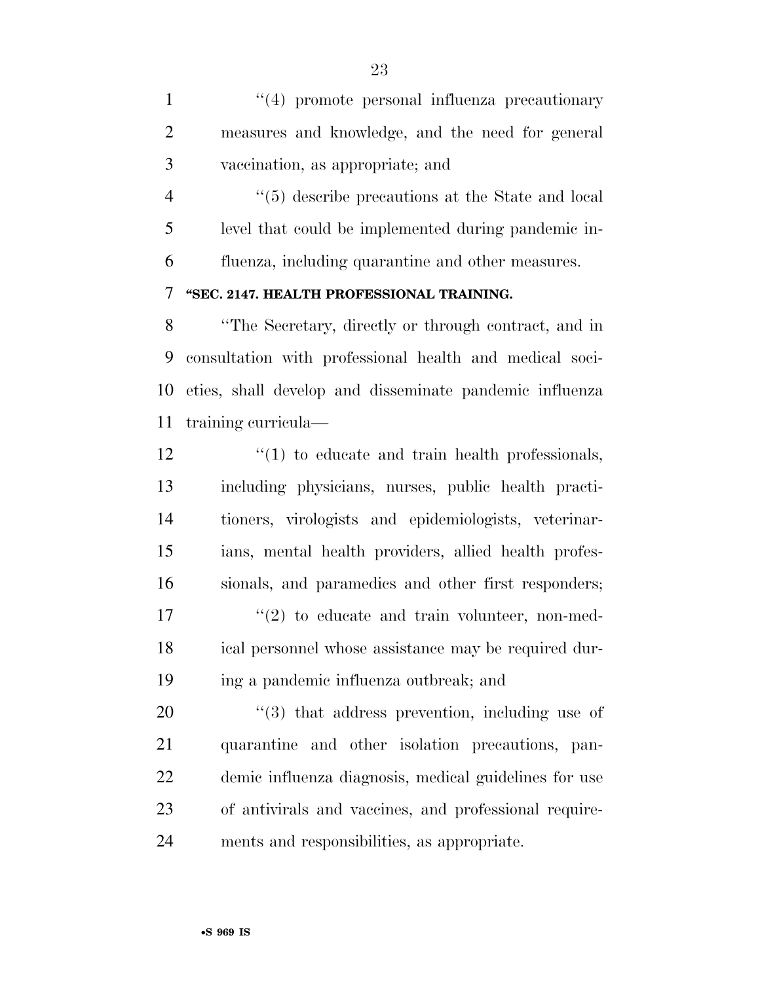1 ''(4) promote personal influenza precautionary measures and knowledge, and the need for general vaccination, as appropriate; and

4  $\frac{4}{5}$  describe precautions at the State and local level that could be implemented during pandemic in-fluenza, including quarantine and other measures.

#### **''SEC. 2147. HEALTH PROFESSIONAL TRAINING.**

 ''The Secretary, directly or through contract, and in consultation with professional health and medical soci- eties, shall develop and disseminate pandemic influenza training curricula—

 $\frac{1}{2}$  (1) to educate and train health professionals, including physicians, nurses, public health practi- tioners, virologists and epidemiologists, veterinar- ians, mental health providers, allied health profes- sionals, and paramedics and other first responders;  $\frac{17}{2}$  ''(2) to educate and train volunteer, non-med- ical personnel whose assistance may be required dur-ing a pandemic influenza outbreak; and

 $\frac{1}{20}$  that address prevention, including use of quarantine and other isolation precautions, pan- demic influenza diagnosis, medical guidelines for use of antivirals and vaccines, and professional require-ments and responsibilities, as appropriate.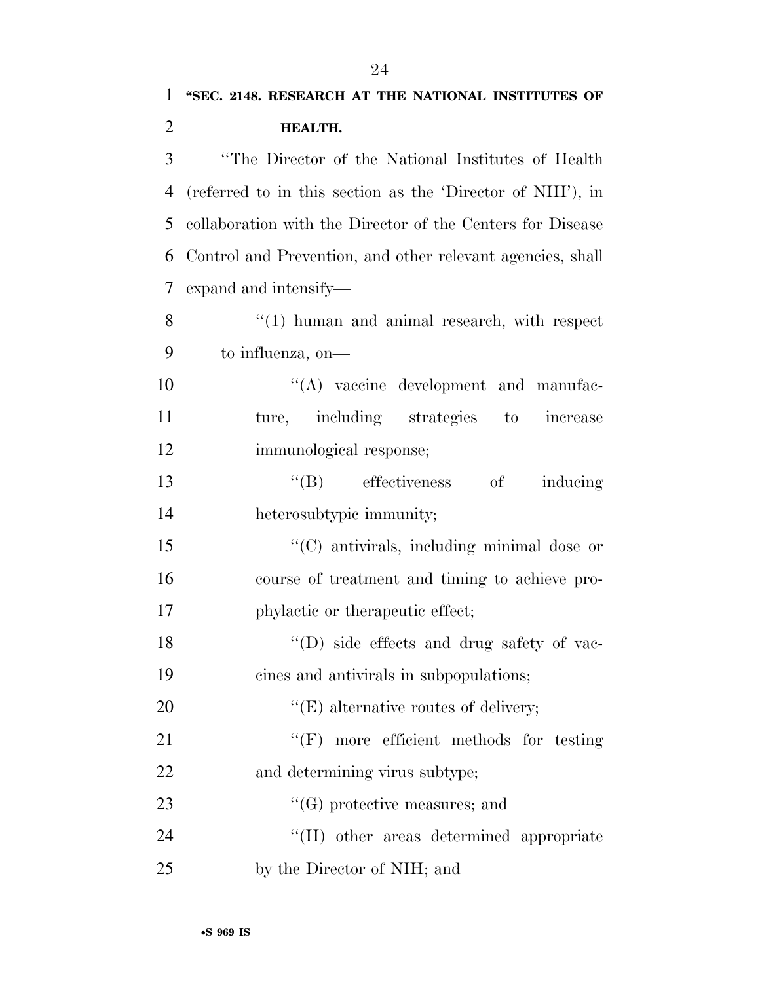# **''SEC. 2148. RESEARCH AT THE NATIONAL INSTITUTES OF HEALTH.**  ''The Director of the National Institutes of Health (referred to in this section as the 'Director of NIH'), in

 collaboration with the Director of the Centers for Disease Control and Prevention, and other relevant agencies, shall expand and intensify—

8 "(1) human and animal research, with respect to influenza, on—

10  $\langle (A) \rangle$  vaccine development and manufac- ture, including strategies to increase immunological response;

13 "(B) effectiveness of inducing heterosubtypic immunity;

 ''(C) antivirals, including minimal dose or course of treatment and timing to achieve pro-17 phylactic or therapeutic effect;

 ''(D) side effects and drug safety of vac-cines and antivirals in subpopulations;

20  $"({\rm E})$  alternative routes of delivery;

21 ''(F) more efficient methods for testing and determining virus subtype;

23  $\bullet$  (G) protective measures; and

24 ''(H) other areas determined appropriate by the Director of NIH; and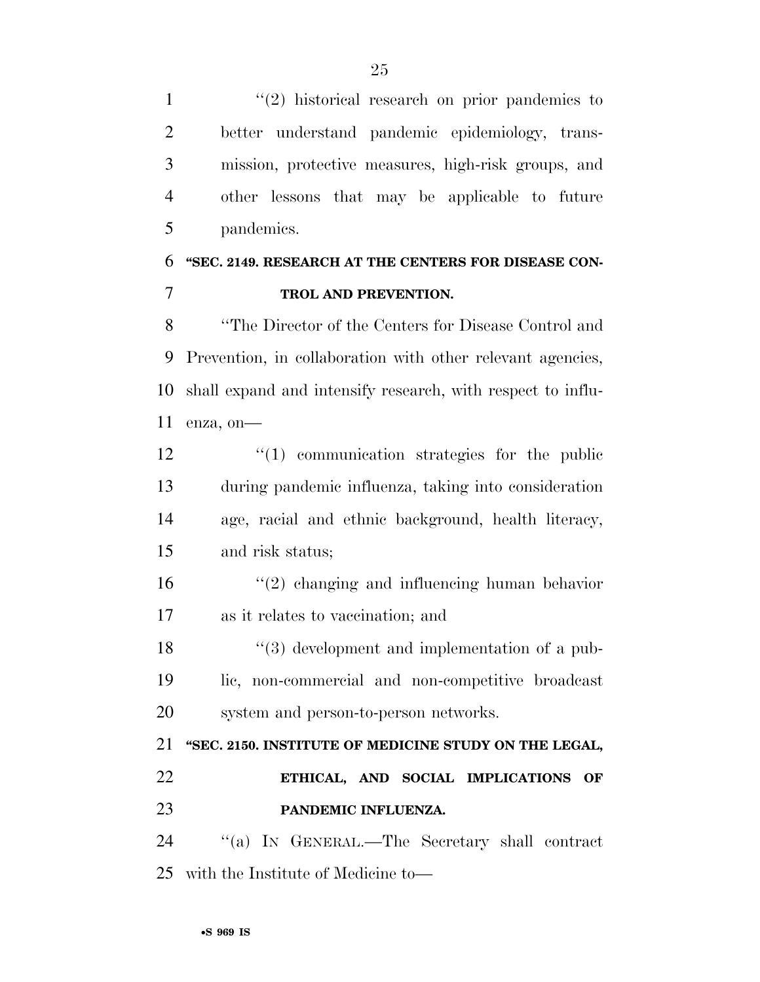1 ''(2) historical research on prior pandemics to better understand pandemic epidemiology, trans- mission, protective measures, high-risk groups, and other lessons that may be applicable to future pandemics.

## **''SEC. 2149. RESEARCH AT THE CENTERS FOR DISEASE CON-TROL AND PREVENTION.**

 ''The Director of the Centers for Disease Control and Prevention, in collaboration with other relevant agencies, shall expand and intensify research, with respect to influ-enza, on—

 $\frac{1}{2}$  (1) communication strategies for the public during pandemic influenza, taking into consideration age, racial and ethnic background, health literacy, and risk status;

 ''(2) changing and influencing human behavior as it relates to vaccination; and

18 ''(3) development and implementation of a pub- lic, non-commercial and non-competitive broadcast system and person-to-person networks.

 **''SEC. 2150. INSTITUTE OF MEDICINE STUDY ON THE LEGAL, ETHICAL, AND SOCIAL IMPLICATIONS OF PANDEMIC INFLUENZA.** 

 ''(a) IN GENERAL.—The Secretary shall contract with the Institute of Medicine to—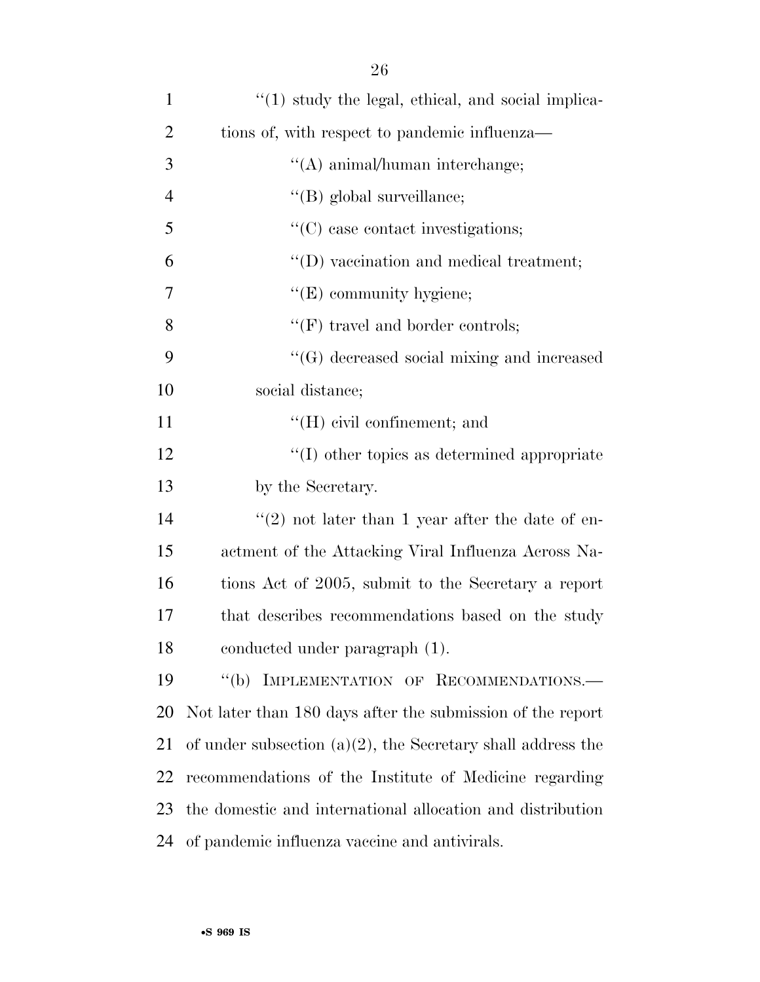| $\mathbf{1}$   | $\lq(1)$ study the legal, ethical, and social implica-         |
|----------------|----------------------------------------------------------------|
| $\overline{2}$ | tions of, with respect to pandemic influenza—                  |
| 3              | $\lq\lq$ animal/human interchange;                             |
| $\overline{4}$ | "(B) global surveillance;                                      |
| 5              | $\lq\lq$ case contact investigations;                          |
| 6              | $\lq\lq$ ) vaccination and medical treatment;                  |
| 7              | $\lq\lq(E)$ community hygiene;                                 |
| 8              | $\lq\lq(F)$ travel and border controls;                        |
| 9              | "(G) decreased social mixing and increased                     |
| 10             | social distance;                                               |
| 11             | $\lq\lq(H)$ civil confinement; and                             |
| 12             | $\lq\lq$ other topics as determined appropriate                |
| 13             | by the Secretary.                                              |
| 14             | $(2)$ not later than 1 year after the date of en-              |
| 15             | actment of the Attacking Viral Influenza Across Na-            |
| 16             | tions Act of 2005, submit to the Secretary a report            |
| 17             | that describes recommendations based on the study              |
| 18             | conducted under paragraph (1).                                 |
| 19             | IMPLEMENTATION OF RECOMMENDATIONS.-<br>$\lq (b)$               |
| 20             | Not later than 180 days after the submission of the report     |
| 21             | of under subsection $(a)(2)$ , the Secretary shall address the |
| 22             | recommendations of the Institute of Medicine regarding         |
| 23             | the domestic and international allocation and distribution     |
| 24             | of pandemic influenza vaccine and antivirals.                  |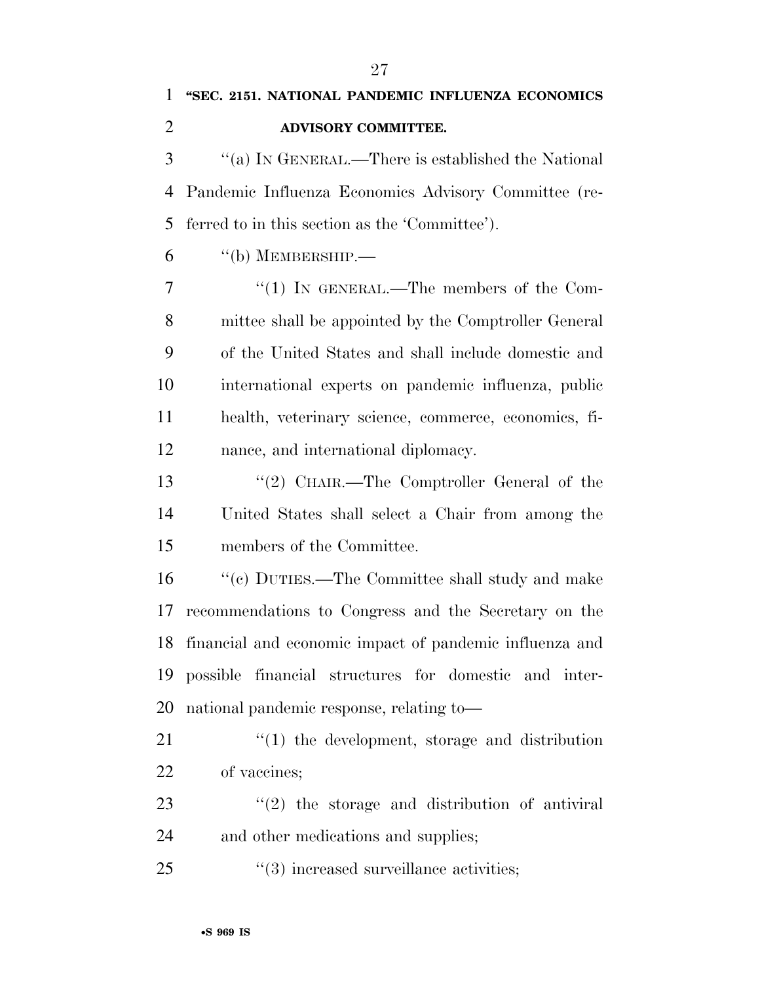| 1              | "SEC. 2151. NATIONAL PANDEMIC INFLUENZA ECONOMICS          |
|----------------|------------------------------------------------------------|
| $\overline{2}$ | ADVISORY COMMITTEE.                                        |
| 3              | "(a) IN GENERAL.—There is established the National         |
| 4              | Pandemic Influenza Economics Advisory Committee (re-       |
| 5              | ferred to in this section as the 'Committee').             |
| 6              | $\lq\lq(b)$ MEMBERSHIP.—                                   |
| 7              | "(1) IN GENERAL.—The members of the Com-                   |
| 8              | mittee shall be appointed by the Comptroller General       |
| 9              | of the United States and shall include domestic and        |
| 10             | international experts on pandemic influenza, public        |
| 11             | health, veterinary science, commerce, economics, fi-       |
| 12             | nance, and international diplomacy.                        |
| 13             | "(2) CHAIR.—The Comptroller General of the                 |
| 14             | United States shall select a Chair from among the          |
| 15             | members of the Committee.                                  |
| 16             | $\lq\lq (c)$ DUTIES.—The Committee shall study and make    |
| 17             | recommendations to Congress and the Secretary on the       |
|                | 18 financial and economic impact of pandemic influenza and |
| 19             | possible financial structures for domestic and inter-      |
| 20             | national pandemic response, relating to—                   |
| 21             | $\lq(1)$ the development, storage and distribution         |
| 22             | of vaccines;                                               |
| 23             | $f'(2)$ the storage and distribution of antiviral          |
| 24             | and other medications and supplies;                        |
| 25             | $\cdot\cdot$ (3) increased surveillance activities;        |
|                |                                                            |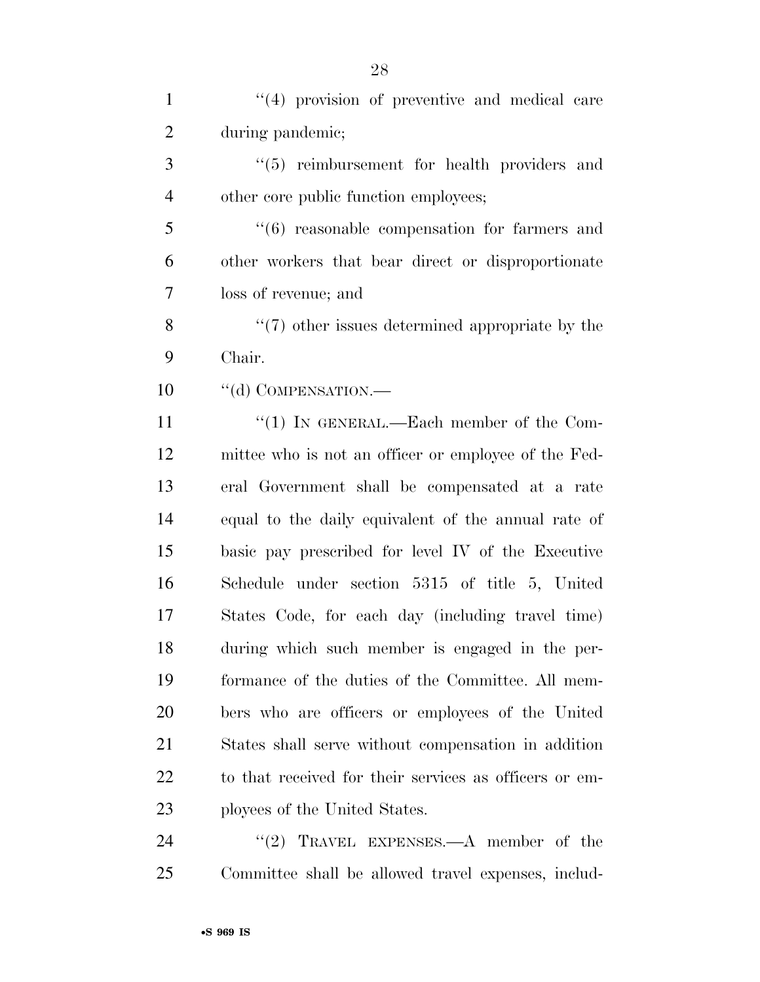| $\mathbf{1}$   | $(4)$ provision of preventive and medical care         |
|----------------|--------------------------------------------------------|
| $\overline{2}$ | during pandemic;                                       |
| 3              | "(5) reimbursement for health providers and            |
| $\overline{4}$ | other core public function employees;                  |
| 5              | $(6)$ reasonable compensation for farmers and          |
| 6              | other workers that bear direct or disproportionate     |
| $\overline{7}$ | loss of revenue; and                                   |
| 8              | $\lq(7)$ other issues determined appropriate by the    |
| 9              | Chair.                                                 |
| 10             | "(d) COMPENSATION.—                                    |
| 11             | "(1) IN GENERAL.—Each member of the Com-               |
| 12             | mittee who is not an officer or employee of the Fed-   |
| 13             | eral Government shall be compensated at a rate         |
| 14             | equal to the daily equivalent of the annual rate of    |
| 15             | basic pay prescribed for level IV of the Executive     |
| 16             | Schedule under section 5315 of title 5, United         |
| 17             | States Code, for each day (including travel time)      |
| 18             | during which such member is engaged in the per-        |
| 19             | formance of the duties of the Committee. All mem-      |
| 20             | bers who are officers or employees of the United       |
| 21             | States shall serve without compensation in addition    |
| 22             | to that received for their services as officers or em- |
| 23             | ployees of the United States.                          |
| 24             | "(2) TRAVEL EXPENSES.— $A$ member of the               |
| 25             | Committee shall be allowed travel expenses, includ-    |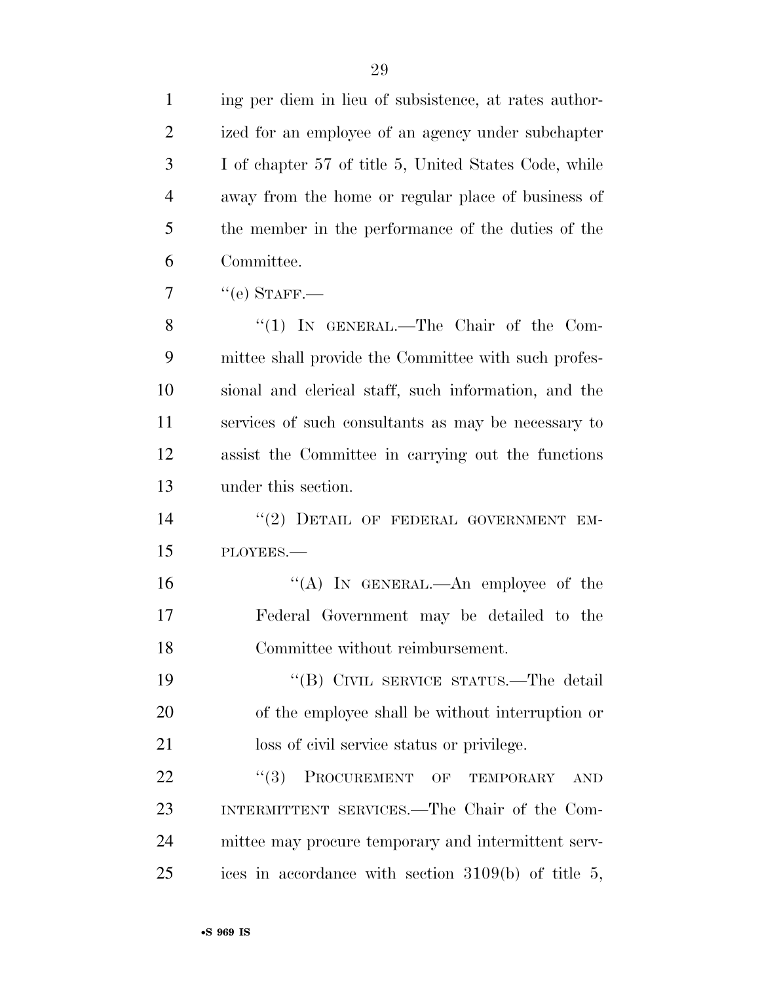| $\mathbf{1}$   | ing per diem in lieu of subsistence, at rates author- |
|----------------|-------------------------------------------------------|
| $\overline{2}$ | ized for an employee of an agency under subchapter    |
| 3              | I of chapter 57 of title 5, United States Code, while |
| $\overline{4}$ | away from the home or regular place of business of    |
| 5              | the member in the performance of the duties of the    |
| 6              | Committee.                                            |
| 7              | $``$ (e) STAFF.—                                      |
| 8              | "(1) IN GENERAL.—The Chair of the Com-                |
| 9              | mittee shall provide the Committee with such profes-  |
| 10             | sional and clerical staff, such information, and the  |
| 11             | services of such consultants as may be necessary to   |
| 12             | assist the Committee in carrying out the functions    |
| 13             | under this section.                                   |
| 14             | "(2) DETAIL OF FEDERAL GOVERNMENT EM-                 |
| 15             | PLOYEES.-                                             |
| 16             | "(A) IN GENERAL.—An employee of the                   |
| 17             | Federal Government may be detailed to the             |
| 18             | Committee without reimbursement.                      |
| 19             | "(B) CIVIL SERVICE STATUS.—The detail                 |
| 20             | of the employee shall be without interruption or      |
| 21             | loss of civil service status or privilege.            |
| 22             | (3)<br>PROCUREMENT OF<br>TEMPORARY<br><b>AND</b>      |
| 23             | INTERMITTENT SERVICES.—The Chair of the Com-          |
| 24             | mittee may procure temporary and intermittent serv-   |
| 25             | ices in accordance with section $3109(b)$ of title 5, |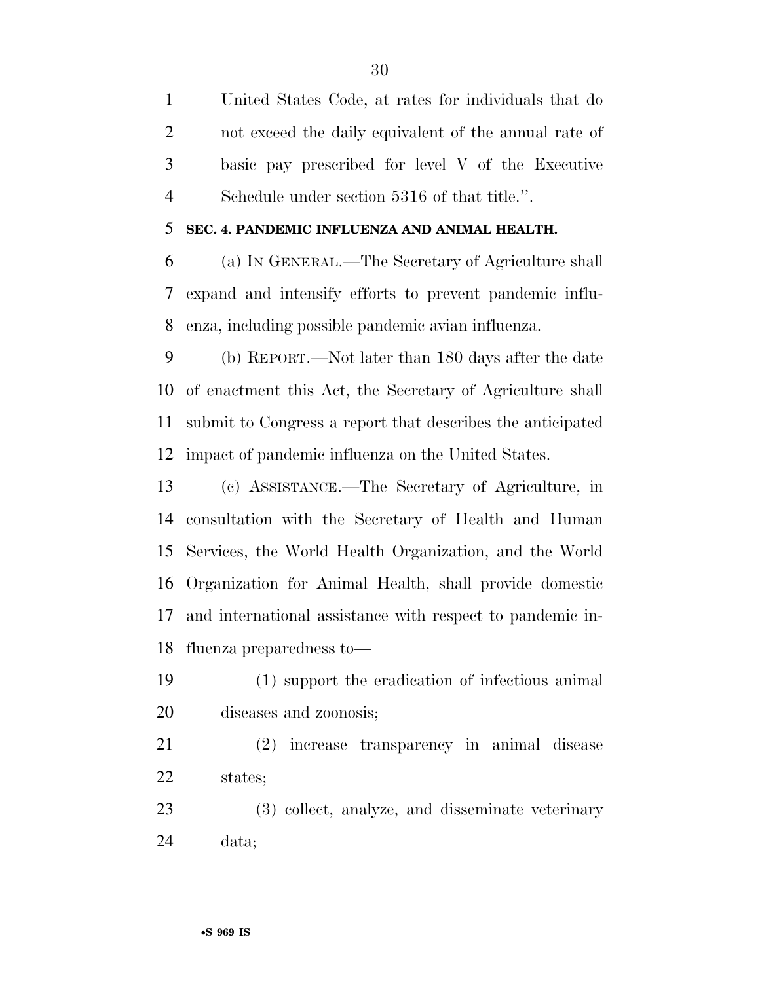United States Code, at rates for individuals that do not exceed the daily equivalent of the annual rate of basic pay prescribed for level V of the Executive Schedule under section 5316 of that title.''.

#### **SEC. 4. PANDEMIC INFLUENZA AND ANIMAL HEALTH.**

 (a) IN GENERAL.—The Secretary of Agriculture shall expand and intensify efforts to prevent pandemic influ-enza, including possible pandemic avian influenza.

 (b) REPORT.—Not later than 180 days after the date of enactment this Act, the Secretary of Agriculture shall submit to Congress a report that describes the anticipated impact of pandemic influenza on the United States.

 (c) ASSISTANCE.—The Secretary of Agriculture, in consultation with the Secretary of Health and Human Services, the World Health Organization, and the World Organization for Animal Health, shall provide domestic and international assistance with respect to pandemic in-fluenza preparedness to—

- (1) support the eradication of infectious animal diseases and zoonosis;
- (2) increase transparency in animal disease states;
- (3) collect, analyze, and disseminate veterinary data;